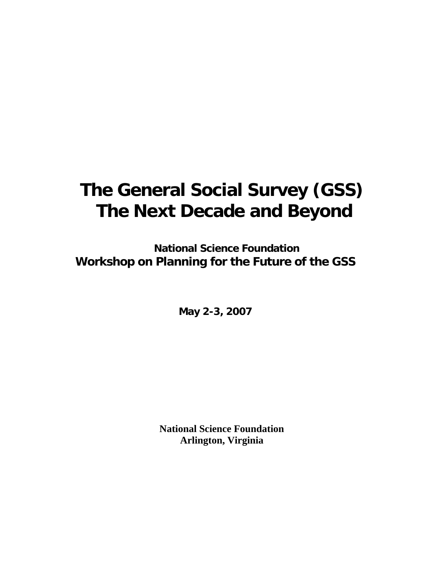# **The General Social Survey (GSS) The Next Decade and Beyond**

 **National Science Foundation Workshop on Planning for the Future of the GSS** 

**May 2-3, 2007** 

**National Science Foundation Arlington, Virginia**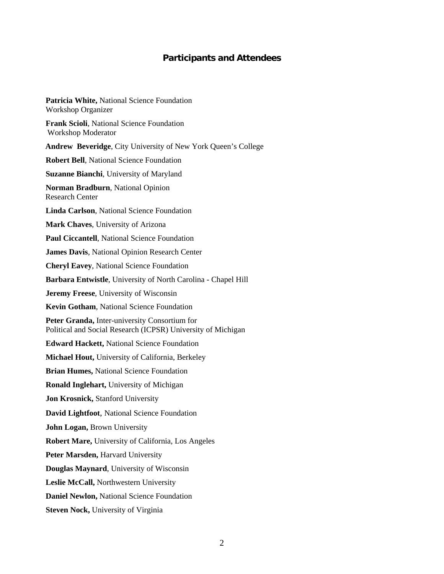#### **Participants and Attendees**

**Patricia White,** National Science Foundation Workshop Organizer **Frank Scioli**, National Science Foundation Workshop Moderator **Andrew Beveridge**, City University of New York Queen's College **Robert Bell**, National Science Foundation **Suzanne Bianchi**, University of Maryland **Norman Bradburn**, National Opinion Research Center **Linda Carlson**, National Science Foundation **Mark Chaves**, University of Arizona **Paul Ciccantell**, National Science Foundation **James Davis**, National Opinion Research Center **Cheryl Eavey**, National Science Foundation **Barbara Entwistle**, University of North Carolina - Chapel Hill **Jeremy Freese**, University of Wisconsin **Kevin Gotham**, National Science Foundation **Peter Granda,** Inter-university Consortium for Political and Social Research (ICPSR) University of Michigan **Edward Hackett,** National Science Foundation **Michael Hout,** University of California, Berkeley **Brian Humes,** National Science Foundation **Ronald Inglehart,** University of Michigan **Jon Krosnick,** Stanford University **David Lightfoot**, National Science Foundation **John Logan,** Brown University **Robert Mare,** University of California, Los Angeles Peter Marsden, Harvard University **Douglas Maynard**, University of Wisconsin **Leslie McCall,** Northwestern University **Daniel Newlon,** National Science Foundation **Steven Nock,** University of Virginia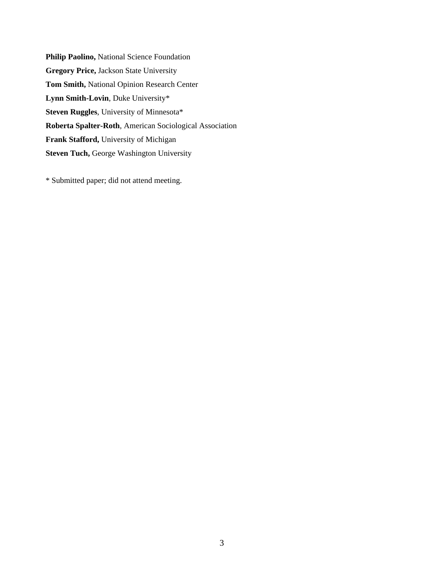**Philip Paolino,** National Science Foundation **Gregory Price,** Jackson State University **Tom Smith,** National Opinion Research Center **Lynn Smith-Lovin**, Duke University\* **Steven Ruggles**, University of Minnesota\* **Roberta Spalter-Roth**, American Sociological Association **Frank Stafford,** University of Michigan **Steven Tuch,** George Washington University

\* Submitted paper; did not attend meeting.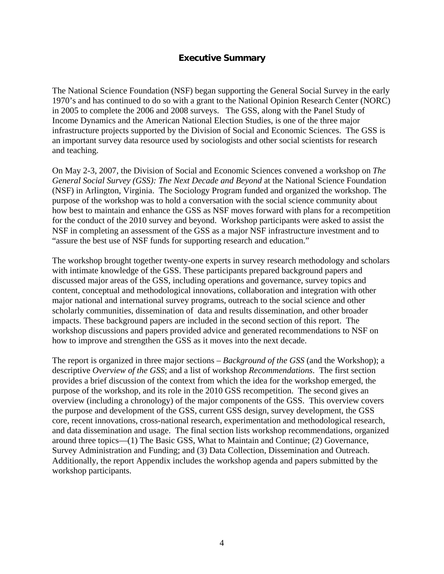#### **Executive Summary**

The National Science Foundation (NSF) began supporting the General Social Survey in the early 1970's and has continued to do so with a grant to the National Opinion Research Center (NORC) in 2005 to complete the 2006 and 2008 surveys. The GSS, along with the Panel Study of Income Dynamics and the American National Election Studies, is one of the three major infrastructure projects supported by the Division of Social and Economic Sciences. The GSS is an important survey data resource used by sociologists and other social scientists for research and teaching.

On May 2-3, 2007, the Division of Social and Economic Sciences convened a workshop on *The General Social Survey (GSS): The Next Decade and Beyond* at the National Science Foundation (NSF) in Arlington, Virginia. The Sociology Program funded and organized the workshop. The purpose of the workshop was to hold a conversation with the social science community about how best to maintain and enhance the GSS as NSF moves forward with plans for a recompetition for the conduct of the 2010 survey and beyond. Workshop participants were asked to assist the NSF in completing an assessment of the GSS as a major NSF infrastructure investment and to "assure the best use of NSF funds for supporting research and education."

The workshop brought together twenty-one experts in survey research methodology and scholars with intimate knowledge of the GSS. These participants prepared background papers and discussed major areas of the GSS, including operations and governance, survey topics and content, conceptual and methodological innovations, collaboration and integration with other major national and international survey programs, outreach to the social science and other scholarly communities, dissemination of data and results dissemination, and other broader impacts. These background papers are included in the second section of this report. The workshop discussions and papers provided advice and generated recommendations to NSF on how to improve and strengthen the GSS as it moves into the next decade.

The report is organized in three major sections – *Background of the GSS* (and the Workshop); a descriptive *Overview of the GSS*; and a list of workshop *Recommendations*. The first section provides a brief discussion of the context from which the idea for the workshop emerged, the purpose of the workshop, and its role in the 2010 GSS recompetition. The second gives an overview (including a chronology) of the major components of the GSS. This overview covers the purpose and development of the GSS, current GSS design, survey development, the GSS core, recent innovations, cross-national research, experimentation and methodological research, and data dissemination and usage. The final section lists workshop recommendations, organized around three topics—(1) The Basic GSS, What to Maintain and Continue; (2) Governance, Survey Administration and Funding; and (3) Data Collection, Dissemination and Outreach. Additionally, the report Appendix includes the workshop agenda and papers submitted by the workshop participants.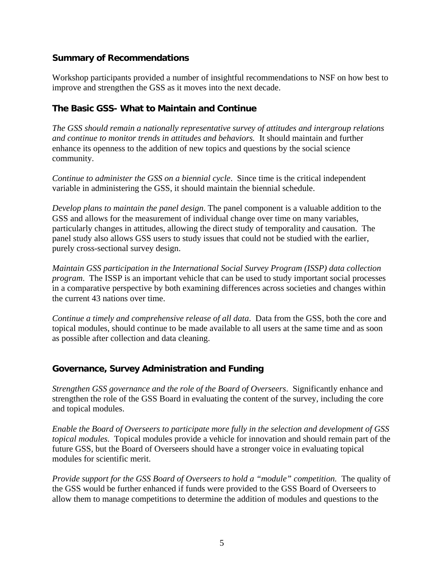#### **Summary of Recommendations**

Workshop participants provided a number of insightful recommendations to NSF on how best to improve and strengthen the GSS as it moves into the next decade.

# **The Basic GSS- What to Maintain and Continue**

*The GSS should remain a nationally representative survey of attitudes and intergroup relations and continue to monitor trends in attitudes and behaviors.* It should maintain and further enhance its openness to the addition of new topics and questions by the social science community.

*Continue to administer the GSS on a biennial cycle*. Since time is the critical independent variable in administering the GSS, it should maintain the biennial schedule.

*Develop plans to maintain the panel design*. The panel component is a valuable addition to the GSS and allows for the measurement of individual change over time on many variables, particularly changes in attitudes, allowing the direct study of temporality and causation. The panel study also allows GSS users to study issues that could not be studied with the earlier, purely cross-sectional survey design.

*Maintain GSS participation in the International Social Survey Program (ISSP) data collection program*. The ISSP is an important vehicle that can be used to study important social processes in a comparative perspective by both examining differences across societies and changes within the current 43 nations over time.

*Continue a timely and comprehensive release of all data*. Data from the GSS, both the core and topical modules, should continue to be made available to all users at the same time and as soon as possible after collection and data cleaning.

# **Governance, Survey Administration and Funding**

*Strengthen GSS governance and the role of the Board of Overseers*. Significantly enhance and strengthen the role of the GSS Board in evaluating the content of the survey, including the core and topical modules.

*Enable the Board of Overseers to participate more fully in the selection and development of GSS topical modules.* Topical modules provide a vehicle for innovation and should remain part of the future GSS, but the Board of Overseers should have a stronger voice in evaluating topical modules for scientific merit.

*Provide support for the GSS Board of Overseers to hold a "module" competition. The quality of* the GSS would be further enhanced if funds were provided to the GSS Board of Overseers to allow them to manage competitions to determine the addition of modules and questions to the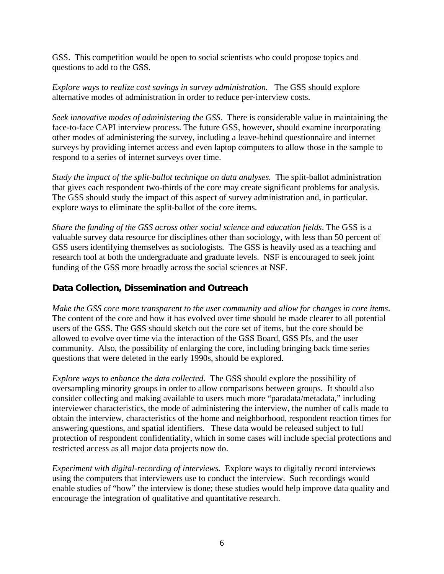GSS. This competition would be open to social scientists who could propose topics and questions to add to the GSS.

*Explore ways to realize cost savings in survey administration.* The GSS should explore alternative modes of administration in order to reduce per-interview costs.

*Seek innovative modes of administering the GSS*. There is considerable value in maintaining the face-to-face CAPI interview process. The future GSS, however, should examine incorporating other modes of administering the survey, including a leave-behind questionnaire and internet surveys by providing internet access and even laptop computers to allow those in the sample to respond to a series of internet surveys over time.

*Study the impact of the split-ballot technique on data analyses.* The split-ballot administration that gives each respondent two-thirds of the core may create significant problems for analysis. The GSS should study the impact of this aspect of survey administration and, in particular, explore ways to eliminate the split-ballot of the core items.

*Share the funding of the GSS across other social science and education fields*. The GSS is a valuable survey data resource for disciplines other than sociology, with less than 50 percent of GSS users identifying themselves as sociologists. The GSS is heavily used as a teaching and research tool at both the undergraduate and graduate levels. NSF is encouraged to seek joint funding of the GSS more broadly across the social sciences at NSF.

#### **Data Collection, Dissemination and Outreach**

*Make the GSS core more transparent to the user community and allow for changes in core items*. The content of the core and how it has evolved over time should be made clearer to all potential users of the GSS. The GSS should sketch out the core set of items, but the core should be allowed to evolve over time via the interaction of the GSS Board, GSS PIs, and the user community. Also, the possibility of enlarging the core, including bringing back time series questions that were deleted in the early 1990s, should be explored.

*Explore ways to enhance the data collected*. The GSS should explore the possibility of oversampling minority groups in order to allow comparisons between groups. It should also consider collecting and making available to users much more "paradata/metadata," including interviewer characteristics, the mode of administering the interview, the number of calls made to obtain the interview, characteristics of the home and neighborhood, respondent reaction times for answering questions, and spatial identifiers. These data would be released subject to full protection of respondent confidentiality, which in some cases will include special protections and restricted access as all major data projects now do.

*Experiment with digital-recording of interviews.* Explore ways to digitally record interviews using the computers that interviewers use to conduct the interview. Such recordings would enable studies of "how" the interview is done; these studies would help improve data quality and encourage the integration of qualitative and quantitative research.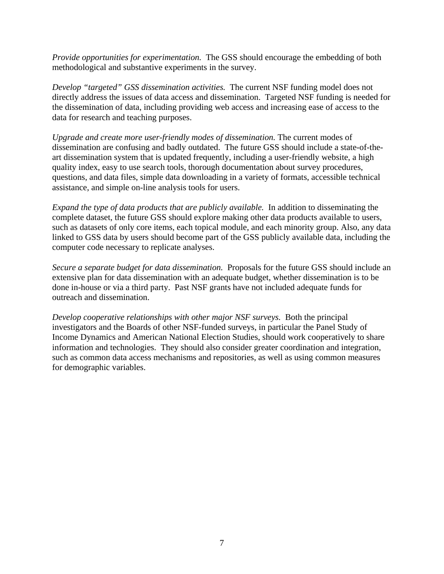*Provide opportunities for experimentation.* The GSS should encourage the embedding of both methodological and substantive experiments in the survey.

*Develop "targeted" GSS dissemination activities.* The current NSF funding model does not directly address the issues of data access and dissemination. Targeted NSF funding is needed for the dissemination of data, including providing web access and increasing ease of access to the data for research and teaching purposes.

*Upgrade and create more user-friendly modes of dissemination.* The current modes of dissemination are confusing and badly outdated. The future GSS should include a state-of-theart dissemination system that is updated frequently, including a user-friendly website, a high quality index, easy to use search tools, thorough documentation about survey procedures, questions, and data files, simple data downloading in a variety of formats, accessible technical assistance, and simple on-line analysis tools for users.

*Expand the type of data products that are publicly available.* In addition to disseminating the complete dataset, the future GSS should explore making other data products available to users, such as datasets of only core items, each topical module, and each minority group. Also, any data linked to GSS data by users should become part of the GSS publicly available data, including the computer code necessary to replicate analyses.

*Secure a separate budget for data dissemination.* Proposals for the future GSS should include an extensive plan for data dissemination with an adequate budget, whether dissemination is to be done in-house or via a third party. Past NSF grants have not included adequate funds for outreach and dissemination.

*Develop cooperative relationships with other major NSF surveys.* Both the principal investigators and the Boards of other NSF-funded surveys, in particular the Panel Study of Income Dynamics and American National Election Studies, should work cooperatively to share information and technologies. They should also consider greater coordination and integration, such as common data access mechanisms and repositories, as well as using common measures for demographic variables.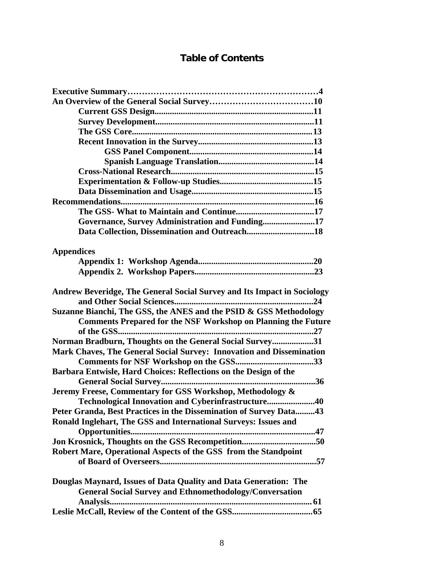# **Table of Contents**

| Governance, Survey Administration and Funding17                         |
|-------------------------------------------------------------------------|
|                                                                         |
|                                                                         |
| <b>Appendices</b>                                                       |
|                                                                         |
|                                                                         |
|                                                                         |
| Andrew Beveridge, The General Social Survey and Its Impact in Sociology |
|                                                                         |
| Suzanne Bianchi, The GSS, the ANES and the PSID & GSS Methodology       |
| <b>Comments Prepared for the NSF Workshop on Planning the Future</b>    |
|                                                                         |
| Norman Bradburn, Thoughts on the General Social Survey31                |
| Mark Chaves, The General Social Survey: Innovation and Dissemination    |
|                                                                         |
| Barbara Entwisle, Hard Choices: Reflections on the Design of the        |
|                                                                         |
| Jeremy Freese, Commentary for GSS Workshop, Methodology &               |
| Technological Innovation and Cyberinfrastructure40                      |
| Peter Granda, Best Practices in the Dissemination of Survey Data43      |
| Ronald Inglehart, The GSS and International Surveys: Issues and         |
|                                                                         |
|                                                                         |
| Robert Mare, Operational Aspects of the GSS from the Standpoint         |
|                                                                         |
|                                                                         |
| Douglas Maynard, Issues of Data Quality and Data Generation: The        |
| <b>General Social Survey and Ethnomethodology/Conversation</b>          |
|                                                                         |
|                                                                         |
|                                                                         |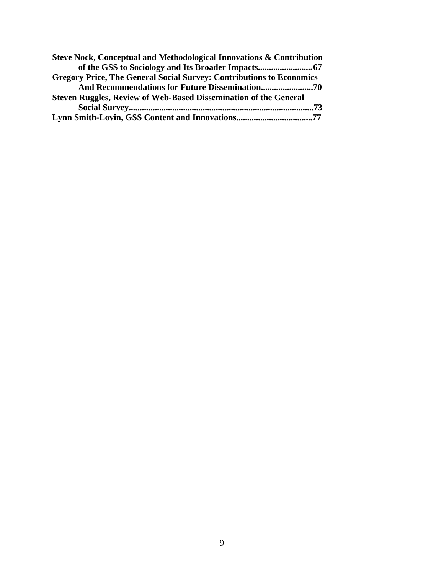| Steve Nock, Conceptual and Methodological Innovations & Contribution        |
|-----------------------------------------------------------------------------|
|                                                                             |
| <b>Gregory Price, The General Social Survey: Contributions to Economics</b> |
|                                                                             |
| <b>Steven Ruggles, Review of Web-Based Dissemination of the General</b>     |
|                                                                             |
|                                                                             |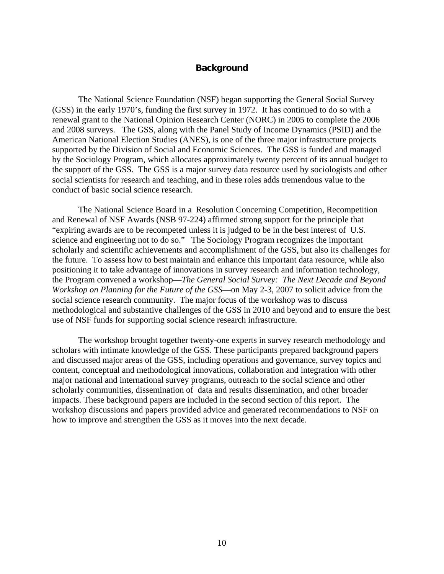#### **Background**

 The National Science Foundation (NSF) began supporting the General Social Survey (GSS) in the early 1970's, funding the first survey in 1972. It has continued to do so with a renewal grant to the National Opinion Research Center (NORC) in 2005 to complete the 2006 and 2008 surveys. The GSS, along with the Panel Study of Income Dynamics (PSID) and the American National Election Studies (ANES), is one of the three major infrastructure projects supported by the Division of Social and Economic Sciences. The GSS is funded and managed by the Sociology Program, which allocates approximately twenty percent of its annual budget to the support of the GSS. The GSS is a major survey data resource used by sociologists and other social scientists for research and teaching, and in these roles adds tremendous value to the conduct of basic social science research.

The National Science Board in a Resolution Concerning Competition, Recompetition and Renewal of NSF Awards (NSB 97-224) affirmed strong support for the principle that "expiring awards are to be recompeted unless it is judged to be in the best interest of U.S. science and engineering not to do so." The Sociology Program recognizes the important scholarly and scientific achievements and accomplishment of the GSS, but also its challenges for the future. To assess how to best maintain and enhance this important data resource, while also positioning it to take advantage of innovations in survey research and information technology, the Program convened a workshop**—***The General Social Survey: The Next Decade and Beyond Workshop on Planning for the Future of the GSS***—**on May 2-3, 2007 to solicit advice from the social science research community. The major focus of the workshop was to discuss methodological and substantive challenges of the GSS in 2010 and beyond and to ensure the best use of NSF funds for supporting social science research infrastructure.

The workshop brought together twenty-one experts in survey research methodology and scholars with intimate knowledge of the GSS. These participants prepared background papers and discussed major areas of the GSS, including operations and governance, survey topics and content, conceptual and methodological innovations, collaboration and integration with other major national and international survey programs, outreach to the social science and other scholarly communities, dissemination of data and results dissemination, and other broader impacts. These background papers are included in the second section of this report. The workshop discussions and papers provided advice and generated recommendations to NSF on how to improve and strengthen the GSS as it moves into the next decade.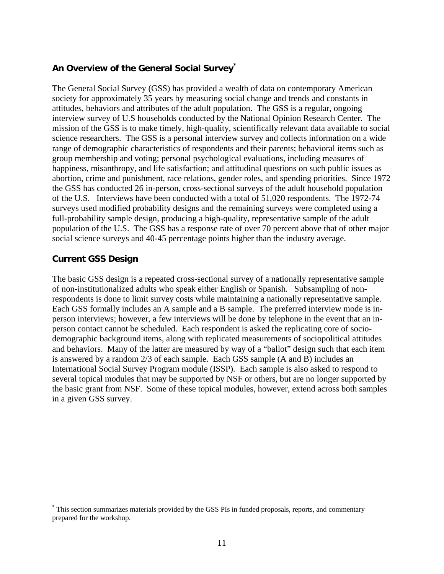# **An Overview of the General Social Survey\***

The General Social Survey (GSS) has provided a wealth of data on contemporary American society for approximately 35 years by measuring social change and trends and constants in attitudes, behaviors and attributes of the adult population. The GSS is a regular, ongoing interview survey of U.S households conducted by the National Opinion Research Center. The mission of the GSS is to make timely, high-quality, scientifically relevant data available to social science researchers. The GSS is a personal interview survey and collects information on a wide range of demographic characteristics of respondents and their parents; behavioral items such as group membership and voting; personal psychological evaluations, including measures of happiness, misanthropy, and life satisfaction; and attitudinal questions on such public issues as abortion, crime and punishment, race relations, gender roles, and spending priorities. Since 1972 the GSS has conducted 26 in-person, cross-sectional surveys of the adult household population of the U.S. Interviews have been conducted with a total of 51,020 respondents. The 1972-74 surveys used modified probability designs and the remaining surveys were completed using a full-probability sample design, producing a high-quality, representative sample of the adult population of the U.S. The GSS has a response rate of over 70 percent above that of other major social science surveys and 40-45 percentage points higher than the industry average.

#### **Current GSS Design**

1

The basic GSS design is a repeated cross-sectional survey of a nationally representative sample of non-institutionalized adults who speak either English or Spanish. Subsampling of nonrespondents is done to limit survey costs while maintaining a nationally representative sample. Each GSS formally includes an A sample and a B sample. The preferred interview mode is inperson interviews; however, a few interviews will be done by telephone in the event that an inperson contact cannot be scheduled. Each respondent is asked the replicating core of sociodemographic background items, along with replicated measurements of sociopolitical attitudes and behaviors. Many of the latter are measured by way of a "ballot" design such that each item is answered by a random 2/3 of each sample. Each GSS sample (A and B) includes an International Social Survey Program module (ISSP). Each sample is also asked to respond to several topical modules that may be supported by NSF or others, but are no longer supported by the basic grant from NSF. Some of these topical modules, however, extend across both samples in a given GSS survey.

<sup>\*</sup> This section summarizes materials provided by the GSS PIs in funded proposals, reports, and commentary prepared for the workshop.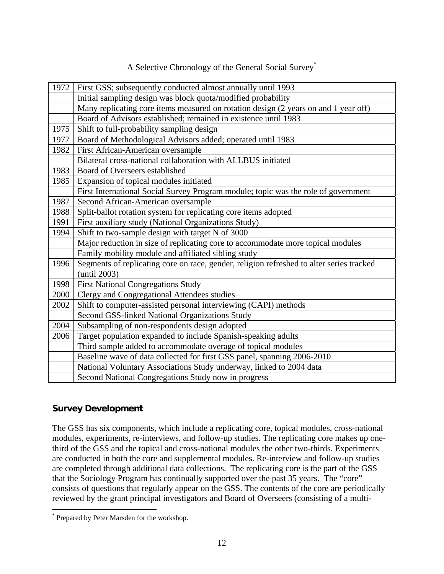| A Selective Chronology of the General Social Survey® |
|------------------------------------------------------|
|------------------------------------------------------|

| 1972 | First GSS; subsequently conducted almost annually until 1993                                             |
|------|----------------------------------------------------------------------------------------------------------|
|      | Initial sampling design was block quota/modified probability                                             |
|      | Many replicating core items measured on rotation design (2 years on and 1 year off)                      |
|      | Board of Advisors established; remained in existence until 1983                                          |
| 1975 | Shift to full-probability sampling design                                                                |
| 1977 | Board of Methodological Advisors added; operated until 1983                                              |
| 1982 | First African-American oversample                                                                        |
|      | Bilateral cross-national collaboration with ALLBUS initiated                                             |
| 1983 | Board of Overseers established                                                                           |
| 1985 | Expansion of topical modules initiated                                                                   |
|      | First International Social Survey Program module; topic was the role of government                       |
| 1987 | Second African-American oversample                                                                       |
| 1988 | Split-ballot rotation system for replicating core items adopted                                          |
| 1991 | First auxiliary study (National Organizations Study)                                                     |
| 1994 | Shift to two-sample design with target N of 3000                                                         |
|      | Major reduction in size of replicating core to accommodate more topical modules                          |
|      | Family mobility module and affiliated sibling study                                                      |
| 1996 | Segments of replicating core on race, gender, religion refreshed to alter series tracked<br>(until 2003) |
| 1998 | <b>First National Congregations Study</b>                                                                |
| 2000 | Clergy and Congregational Attendees studies                                                              |
| 2002 | Shift to computer-assisted personal interviewing (CAPI) methods                                          |
|      | Second GSS-linked National Organizations Study                                                           |
| 2004 | Subsampling of non-respondents design adopted                                                            |
| 2006 | Target population expanded to include Spanish-speaking adults                                            |
|      | Third sample added to accommodate overage of topical modules                                             |
|      | Baseline wave of data collected for first GSS panel, spanning 2006-2010                                  |
|      | National Voluntary Associations Study underway, linked to 2004 data                                      |
|      | Second National Congregations Study now in progress                                                      |

# **Survey Development**

 $\overline{a}$ 

The GSS has six components, which include a replicating core, topical modules, cross-national modules, experiments, re-interviews, and follow-up studies. The replicating core makes up onethird of the GSS and the topical and cross-national modules the other two-thirds. Experiments are conducted in both the core and supplemental modules. Re-interview and follow-up studies are completed through additional data collections. The replicating core is the part of the GSS that the Sociology Program has continually supported over the past 35 years. The "core" consists of questions that regularly appear on the GSS. The contents of the core are periodically reviewed by the grant principal investigators and Board of Overseers (consisting of a multi-

<sup>\*</sup> Prepared by Peter Marsden for the workshop.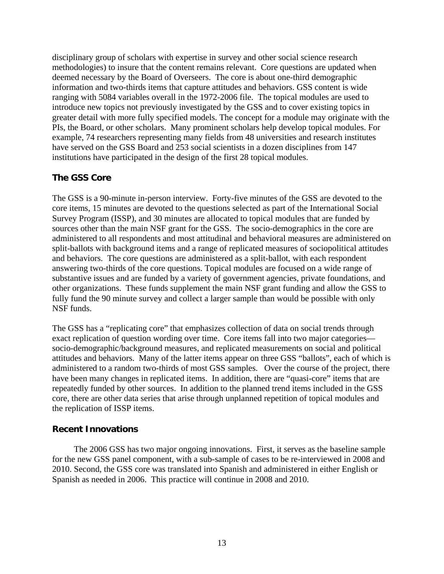disciplinary group of scholars with expertise in survey and other social science research methodologies) to insure that the content remains relevant. Core questions are updated when deemed necessary by the Board of Overseers. The core is about one-third demographic information and two-thirds items that capture attitudes and behaviors. GSS content is wide ranging with 5084 variables overall in the 1972-2006 file. The topical modules are used to introduce new topics not previously investigated by the GSS and to cover existing topics in greater detail with more fully specified models. The concept for a module may originate with the PIs, the Board, or other scholars. Many prominent scholars help develop topical modules. For example, 74 researchers representing many fields from 48 universities and research institutes have served on the GSS Board and 253 social scientists in a dozen disciplines from 147 institutions have participated in the design of the first 28 topical modules.

# **The GSS Core**

The GSS is a 90-minute in-person interview. Forty-five minutes of the GSS are devoted to the core items, 15 minutes are devoted to the questions selected as part of the International Social Survey Program (ISSP), and 30 minutes are allocated to topical modules that are funded by sources other than the main NSF grant for the GSS. The socio-demographics in the core are administered to all respondents and most attitudinal and behavioral measures are administered on split-ballots with background items and a range of replicated measures of sociopolitical attitudes and behaviors. The core questions are administered as a split-ballot, with each respondent answering two-thirds of the core questions. Topical modules are focused on a wide range of substantive issues and are funded by a variety of government agencies, private foundations, and other organizations. These funds supplement the main NSF grant funding and allow the GSS to fully fund the 90 minute survey and collect a larger sample than would be possible with only NSF funds.

The GSS has a "replicating core" that emphasizes collection of data on social trends through exact replication of question wording over time. Core items fall into two major categories socio-demographic/background measures, and replicated measurements on social and political attitudes and behaviors. Many of the latter items appear on three GSS "ballots", each of which is administered to a random two-thirds of most GSS samples. Over the course of the project, there have been many changes in replicated items. In addition, there are "quasi-core" items that are repeatedly funded by other sources. In addition to the planned trend items included in the GSS core, there are other data series that arise through unplanned repetition of topical modules and the replication of ISSP items.

#### **Recent Innovations**

 The 2006 GSS has two major ongoing innovations. First, it serves as the baseline sample for the new GSS panel component, with a sub-sample of cases to be re-interviewed in 2008 and 2010. Second, the GSS core was translated into Spanish and administered in either English or Spanish as needed in 2006. This practice will continue in 2008 and 2010.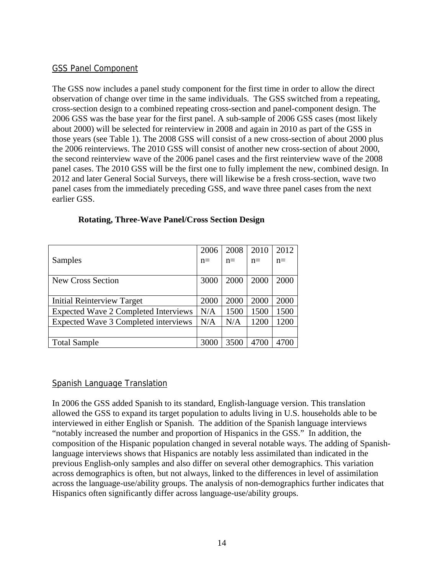#### GSS Panel Component

The GSS now includes a panel study component for the first time in order to allow the direct observation of change over time in the same individuals. The GSS switched from a repeating, cross-section design to a combined repeating cross-section and panel-component design. The 2006 GSS was the base year for the first panel. A sub-sample of 2006 GSS cases (most likely about 2000) will be selected for reinterview in 2008 and again in 2010 as part of the GSS in those years (see Table 1). The 2008 GSS will consist of a new cross-section of about 2000 plus the 2006 reinterviews. The 2010 GSS will consist of another new cross-section of about 2000, the second reinterview wave of the 2006 panel cases and the first reinterview wave of the 2008 panel cases. The 2010 GSS will be the first one to fully implement the new, combined design. In 2012 and later General Social Surveys, there will likewise be a fresh cross-section, wave two panel cases from the immediately preceding GSS, and wave three panel cases from the next earlier GSS.

|                                             | 2006 | 2008 | 2010 | 2012  |
|---------------------------------------------|------|------|------|-------|
| Samples                                     | $n=$ | $n=$ | $n=$ | $n =$ |
|                                             |      |      |      |       |
| New Cross Section                           | 3000 | 2000 | 2000 | 2000  |
|                                             |      |      |      |       |
| Initial Reinterview Target                  | 2000 | 2000 | 2000 | 2000  |
| <b>Expected Wave 2 Completed Interviews</b> | N/A  | 1500 | 1500 | 1500  |
| Expected Wave 3 Completed interviews        | N/A  | N/A  | 1200 | 1200  |
|                                             |      |      |      |       |
| <b>Total Sample</b>                         | 3000 | 3500 | 4700 |       |

#### **Rotating, Three-Wave Panel/Cross Section Design**

#### Spanish Language Translation

In 2006 the GSS added Spanish to its standard, English-language version. This translation allowed the GSS to expand its target population to adults living in U.S. households able to be interviewed in either English or Spanish. The addition of the Spanish language interviews "notably increased the number and proportion of Hispanics in the GSS." In addition, the composition of the Hispanic population changed in several notable ways. The adding of Spanishlanguage interviews shows that Hispanics are notably less assimilated than indicated in the previous English-only samples and also differ on several other demographics. This variation across demographics is often, but not always, linked to the differences in level of assimilation across the language-use/ability groups. The analysis of non-demographics further indicates that Hispanics often significantly differ across language-use/ability groups.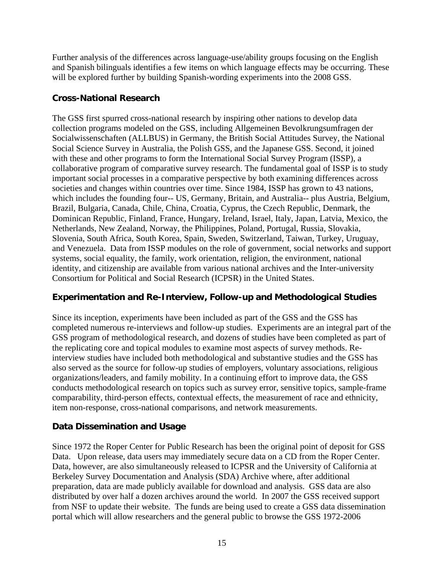Further analysis of the differences across language-use/ability groups focusing on the English and Spanish bilinguals identifies a few items on which language effects may be occurring. These will be explored further by building Spanish-wording experiments into the 2008 GSS.

#### **Cross-National Research**

The GSS first spurred cross-national research by inspiring other nations to develop data collection programs modeled on the GSS, including Allgemeinen Bevolkrungsumfragen der Socialwissenschaften (ALLBUS) in Germany, the British Social Attitudes Survey, the National Social Science Survey in Australia, the Polish GSS, and the Japanese GSS. Second, it joined with these and other programs to form the International Social Survey Program (ISSP), a collaborative program of comparative survey research. The fundamental goal of ISSP is to study important social processes in a comparative perspective by both examining differences across societies and changes within countries over time. Since 1984, ISSP has grown to 43 nations, which includes the founding four-- US, Germany, Britain, and Australia-- plus Austria, Belgium, Brazil, Bulgaria, Canada, Chile, China, Croatia, Cyprus, the Czech Republic, Denmark, the Dominican Republic, Finland, France, Hungary, Ireland, Israel, Italy, Japan, Latvia, Mexico, the Netherlands, New Zealand, Norway, the Philippines, Poland, Portugal, Russia, Slovakia, Slovenia, South Africa, South Korea, Spain, Sweden, Switzerland, Taiwan, Turkey, Uruguay, and Venezuela. Data from ISSP modules on the role of government, social networks and support systems, social equality, the family, work orientation, religion, the environment, national identity, and citizenship are available from various national archives and the Inter-university Consortium for Political and Social Research (ICPSR) in the United States.

# **Experimentation and Re-Interview, Follow-up and Methodological Studies**

Since its inception, experiments have been included as part of the GSS and the GSS has completed numerous re-interviews and follow-up studies. Experiments are an integral part of the GSS program of methodological research, and dozens of studies have been completed as part of the replicating core and topical modules to examine most aspects of survey methods. Reinterview studies have included both methodological and substantive studies and the GSS has also served as the source for follow-up studies of employers, voluntary associations, religious organizations/leaders, and family mobility. In a continuing effort to improve data, the GSS conducts methodological research on topics such as survey error, sensitive topics, sample-frame comparability, third-person effects, contextual effects, the measurement of race and ethnicity, item non-response, cross-national comparisons, and network measurements.

# **Data Dissemination and Usage**

Since 1972 the Roper Center for Public Research has been the original point of deposit for GSS Data. Upon release, data users may immediately secure data on a CD from the Roper Center. Data, however, are also simultaneously released to ICPSR and the University of California at Berkeley Survey Documentation and Analysis (SDA) Archive where, after additional preparation, data are made publicly available for download and analysis. GSS data are also distributed by over half a dozen archives around the world. In 2007 the GSS received support from NSF to update their website. The funds are being used to create a GSS data dissemination portal which will allow researchers and the general public to browse the GSS 1972-2006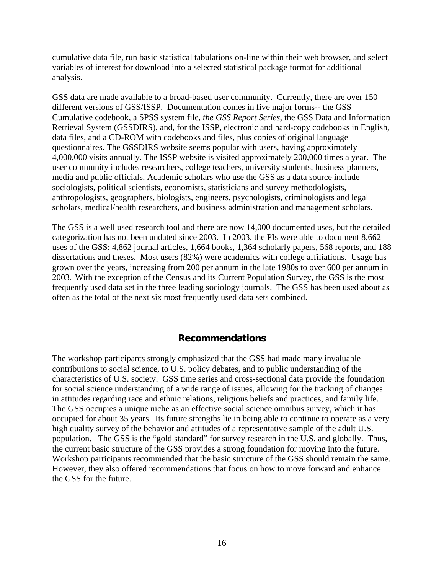cumulative data file, run basic statistical tabulations on-line within their web browser, and select variables of interest for download into a selected statistical package format for additional analysis.

GSS data are made available to a broad-based user community. Currently, there are over 150 different versions of GSS/ISSP. Documentation comes in five major forms-- the GSS Cumulative codebook, a SPSS system file, *the GSS Report Series*, the GSS Data and Information Retrieval System (GSSDIRS), and, for the ISSP, electronic and hard-copy codebooks in English, data files, and a CD-ROM with codebooks and files, plus copies of original language questionnaires. The GSSDIRS website seems popular with users, having approximately 4,000,000 visits annually. The ISSP website is visited approximately 200,000 times a year. The user community includes researchers, college teachers, university students, business planners, media and public officials. Academic scholars who use the GSS as a data source include sociologists, political scientists, economists, statisticians and survey methodologists, anthropologists, geographers, biologists, engineers, psychologists, criminologists and legal scholars, medical/health researchers, and business administration and management scholars.

The GSS is a well used research tool and there are now 14,000 documented uses, but the detailed categorization has not been undated since 2003. In 2003, the PIs were able to document 8,662 uses of the GSS: 4,862 journal articles, 1,664 books, 1,364 scholarly papers, 568 reports, and 188 dissertations and theses. Most users (82%) were academics with college affiliations. Usage has grown over the years, increasing from 200 per annum in the late 1980s to over 600 per annum in 2003. With the exception of the Census and its Current Population Survey, the GSS is the most frequently used data set in the three leading sociology journals. The GSS has been used about as often as the total of the next six most frequently used data sets combined.

# **Recommendations**

The workshop participants strongly emphasized that the GSS had made many invaluable contributions to social science, to U.S. policy debates, and to public understanding of the characteristics of U.S. society. GSS time series and cross-sectional data provide the foundation for social science understanding of a wide range of issues, allowing for the tracking of changes in attitudes regarding race and ethnic relations, religious beliefs and practices, and family life. The GSS occupies a unique niche as an effective social science omnibus survey, which it has occupied for about 35 years. Its future strengths lie in being able to continue to operate as a very high quality survey of the behavior and attitudes of a representative sample of the adult U.S. population. The GSS is the "gold standard" for survey research in the U.S. and globally. Thus, the current basic structure of the GSS provides a strong foundation for moving into the future. Workshop participants recommended that the basic structure of the GSS should remain the same. However, they also offered recommendations that focus on how to move forward and enhance the GSS for the future.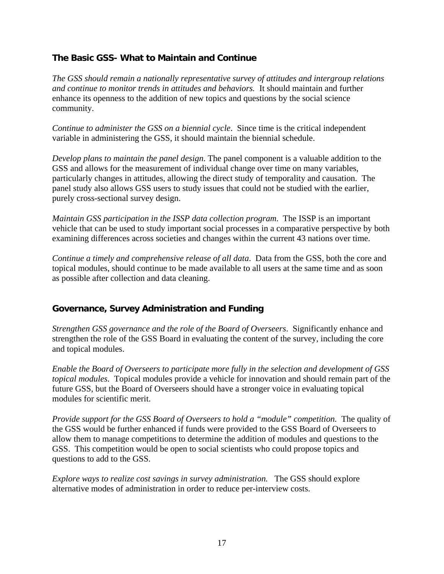# **The Basic GSS- What to Maintain and Continue**

*The GSS should remain a nationally representative survey of attitudes and intergroup relations and continue to monitor trends in attitudes and behaviors.* It should maintain and further enhance its openness to the addition of new topics and questions by the social science community.

*Continue to administer the GSS on a biennial cycle*. Since time is the critical independent variable in administering the GSS, it should maintain the biennial schedule.

*Develop plans to maintain the panel design*. The panel component is a valuable addition to the GSS and allows for the measurement of individual change over time on many variables, particularly changes in attitudes, allowing the direct study of temporality and causation. The panel study also allows GSS users to study issues that could not be studied with the earlier, purely cross-sectional survey design.

*Maintain GSS participation in the ISSP data collection program*. The ISSP is an important vehicle that can be used to study important social processes in a comparative perspective by both examining differences across societies and changes within the current 43 nations over time.

*Continue a timely and comprehensive release of all data*. Data from the GSS, both the core and topical modules, should continue to be made available to all users at the same time and as soon as possible after collection and data cleaning.

# **Governance, Survey Administration and Funding**

*Strengthen GSS governance and the role of the Board of Overseers*. Significantly enhance and strengthen the role of the GSS Board in evaluating the content of the survey, including the core and topical modules.

*Enable the Board of Overseers to participate more fully in the selection and development of GSS topical modules.* Topical modules provide a vehicle for innovation and should remain part of the future GSS, but the Board of Overseers should have a stronger voice in evaluating topical modules for scientific merit.

*Provide support for the GSS Board of Overseers to hold a "module" competition.* The quality of the GSS would be further enhanced if funds were provided to the GSS Board of Overseers to allow them to manage competitions to determine the addition of modules and questions to the GSS. This competition would be open to social scientists who could propose topics and questions to add to the GSS.

*Explore ways to realize cost savings in survey administration.* The GSS should explore alternative modes of administration in order to reduce per-interview costs.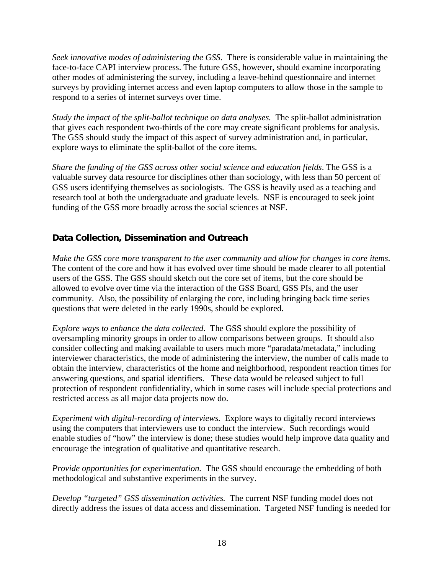*Seek innovative modes of administering the GSS*. There is considerable value in maintaining the face-to-face CAPI interview process. The future GSS, however, should examine incorporating other modes of administering the survey, including a leave-behind questionnaire and internet surveys by providing internet access and even laptop computers to allow those in the sample to respond to a series of internet surveys over time.

*Study the impact of the split-ballot technique on data analyses.* The split-ballot administration that gives each respondent two-thirds of the core may create significant problems for analysis. The GSS should study the impact of this aspect of survey administration and, in particular, explore ways to eliminate the split-ballot of the core items.

*Share the funding of the GSS across other social science and education fields*. The GSS is a valuable survey data resource for disciplines other than sociology, with less than 50 percent of GSS users identifying themselves as sociologists. The GSS is heavily used as a teaching and research tool at both the undergraduate and graduate levels. NSF is encouraged to seek joint funding of the GSS more broadly across the social sciences at NSF.

# **Data Collection, Dissemination and Outreach**

*Make the GSS core more transparent to the user community and allow for changes in core items*. The content of the core and how it has evolved over time should be made clearer to all potential users of the GSS. The GSS should sketch out the core set of items, but the core should be allowed to evolve over time via the interaction of the GSS Board, GSS PIs, and the user community. Also, the possibility of enlarging the core, including bringing back time series questions that were deleted in the early 1990s, should be explored.

*Explore ways to enhance the data collected*. The GSS should explore the possibility of oversampling minority groups in order to allow comparisons between groups. It should also consider collecting and making available to users much more "paradata/metadata," including interviewer characteristics, the mode of administering the interview, the number of calls made to obtain the interview, characteristics of the home and neighborhood, respondent reaction times for answering questions, and spatial identifiers. These data would be released subject to full protection of respondent confidentiality, which in some cases will include special protections and restricted access as all major data projects now do.

*Experiment with digital-recording of interviews.* Explore ways to digitally record interviews using the computers that interviewers use to conduct the interview. Such recordings would enable studies of "how" the interview is done; these studies would help improve data quality and encourage the integration of qualitative and quantitative research.

*Provide opportunities for experimentation.* The GSS should encourage the embedding of both methodological and substantive experiments in the survey.

*Develop "targeted" GSS dissemination activities.* The current NSF funding model does not directly address the issues of data access and dissemination. Targeted NSF funding is needed for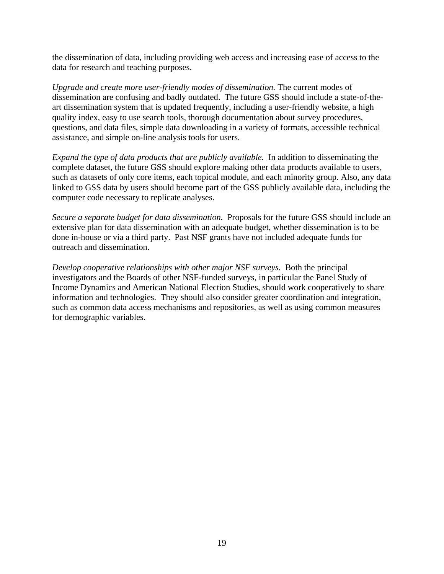the dissemination of data, including providing web access and increasing ease of access to the data for research and teaching purposes.

*Upgrade and create more user-friendly modes of dissemination.* The current modes of dissemination are confusing and badly outdated. The future GSS should include a state-of-theart dissemination system that is updated frequently, including a user-friendly website, a high quality index, easy to use search tools, thorough documentation about survey procedures, questions, and data files, simple data downloading in a variety of formats, accessible technical assistance, and simple on-line analysis tools for users.

*Expand the type of data products that are publicly available.* In addition to disseminating the complete dataset, the future GSS should explore making other data products available to users, such as datasets of only core items, each topical module, and each minority group. Also, any data linked to GSS data by users should become part of the GSS publicly available data, including the computer code necessary to replicate analyses.

*Secure a separate budget for data dissemination.* Proposals for the future GSS should include an extensive plan for data dissemination with an adequate budget, whether dissemination is to be done in-house or via a third party. Past NSF grants have not included adequate funds for outreach and dissemination.

*Develop cooperative relationships with other major NSF surveys.* Both the principal investigators and the Boards of other NSF-funded surveys, in particular the Panel Study of Income Dynamics and American National Election Studies, should work cooperatively to share information and technologies. They should also consider greater coordination and integration, such as common data access mechanisms and repositories, as well as using common measures for demographic variables.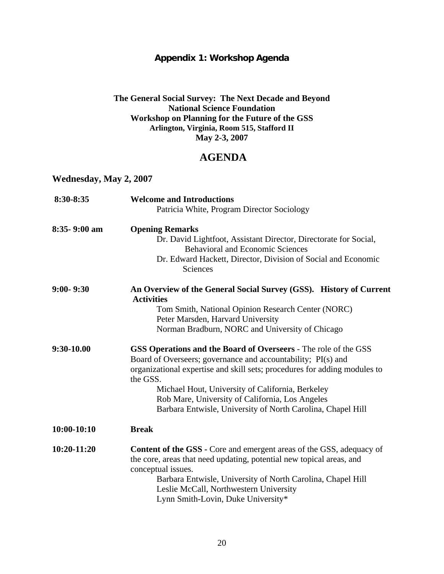# **Appendix 1: Workshop Agenda**

#### **The General Social Survey: The Next Decade and Beyond National Science Foundation Workshop on Planning for the Future of the GSS Arlington, Virginia, Room 515, Stafford II May 2-3, 2007**

# **AGENDA**

# **Wednesday, May 2, 2007**

| 8:30-8:35     | <b>Welcome and Introductions</b><br>Patricia White, Program Director Sociology                                                                                                                                                                                                     |
|---------------|------------------------------------------------------------------------------------------------------------------------------------------------------------------------------------------------------------------------------------------------------------------------------------|
|               |                                                                                                                                                                                                                                                                                    |
| 8:35-9:00 am  | <b>Opening Remarks</b>                                                                                                                                                                                                                                                             |
|               | Dr. David Lightfoot, Assistant Director, Directorate for Social,<br><b>Behavioral and Economic Sciences</b>                                                                                                                                                                        |
|               | Dr. Edward Hackett, Director, Division of Social and Economic<br>Sciences                                                                                                                                                                                                          |
| $9:00 - 9:30$ | An Overview of the General Social Survey (GSS). History of Current<br><b>Activities</b>                                                                                                                                                                                            |
|               | Tom Smith, National Opinion Research Center (NORC)                                                                                                                                                                                                                                 |
|               | Peter Marsden, Harvard University                                                                                                                                                                                                                                                  |
|               | Norman Bradburn, NORC and University of Chicago                                                                                                                                                                                                                                    |
| 9:30-10.00    | GSS Operations and the Board of Overseers - The role of the GSS<br>Board of Overseers; governance and accountability; PI(s) and<br>organizational expertise and skill sets; procedures for adding modules to                                                                       |
|               | the GSS.                                                                                                                                                                                                                                                                           |
|               | Michael Hout, University of California, Berkeley                                                                                                                                                                                                                                   |
|               | Rob Mare, University of California, Los Angeles                                                                                                                                                                                                                                    |
|               | Barbara Entwisle, University of North Carolina, Chapel Hill                                                                                                                                                                                                                        |
| $10:00-10:10$ | <b>Break</b>                                                                                                                                                                                                                                                                       |
| 10:20-11:20   | <b>Content of the GSS - Core and emergent areas of the GSS, adequacy of</b><br>the core, areas that need updating, potential new topical areas, and<br>conceptual issues.<br>Barbara Entwisle, University of North Carolina, Chapel Hill<br>Leslie McCall, Northwestern University |
|               | Lynn Smith-Lovin, Duke University*                                                                                                                                                                                                                                                 |
|               |                                                                                                                                                                                                                                                                                    |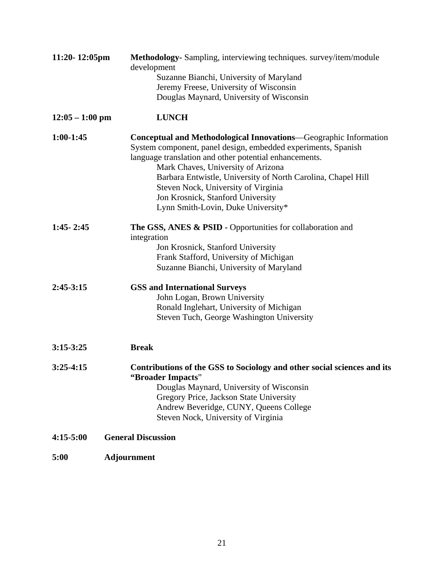| $11:20 - 12:05$ pm | Methodology- Sampling, interviewing techniques. survey/item/module<br>development                                                                                                                                                                                                                                                                                                                                          |
|--------------------|----------------------------------------------------------------------------------------------------------------------------------------------------------------------------------------------------------------------------------------------------------------------------------------------------------------------------------------------------------------------------------------------------------------------------|
|                    | Suzanne Bianchi, University of Maryland                                                                                                                                                                                                                                                                                                                                                                                    |
|                    | Jeremy Freese, University of Wisconsin                                                                                                                                                                                                                                                                                                                                                                                     |
|                    | Douglas Maynard, University of Wisconsin                                                                                                                                                                                                                                                                                                                                                                                   |
| $12:05 - 1:00$ pm  | <b>LUNCH</b>                                                                                                                                                                                                                                                                                                                                                                                                               |
| $1:00-1:45$        | <b>Conceptual and Methodological Innovations—Geographic Information</b><br>System component, panel design, embedded experiments, Spanish<br>language translation and other potential enhancements.<br>Mark Chaves, University of Arizona<br>Barbara Entwistle, University of North Carolina, Chapel Hill<br>Steven Nock, University of Virginia<br>Jon Krosnick, Stanford University<br>Lynn Smith-Lovin, Duke University* |
| $1:45 - 2:45$      | The GSS, ANES & PSID - Opportunities for collaboration and<br>integration<br>Jon Krosnick, Stanford University<br>Frank Stafford, University of Michigan<br>Suzanne Bianchi, University of Maryland                                                                                                                                                                                                                        |
| $2:45-3:15$        | <b>GSS and International Surveys</b><br>John Logan, Brown University<br>Ronald Inglehart, University of Michigan<br>Steven Tuch, George Washington University                                                                                                                                                                                                                                                              |
| $3:15-3:25$        | <b>Break</b>                                                                                                                                                                                                                                                                                                                                                                                                               |
| $3:25-4:15$        | Contributions of the GSS to Sociology and other social sciences and its<br>"Broader Impacts"<br>Douglas Maynard, University of Wisconsin<br>Gregory Price, Jackson State University<br>Andrew Beveridge, CUNY, Queens College<br>Steven Nock, University of Virginia                                                                                                                                                       |
| $4:15-5:00$        | <b>General Discussion</b>                                                                                                                                                                                                                                                                                                                                                                                                  |
| 5:00               | <b>Adjournment</b>                                                                                                                                                                                                                                                                                                                                                                                                         |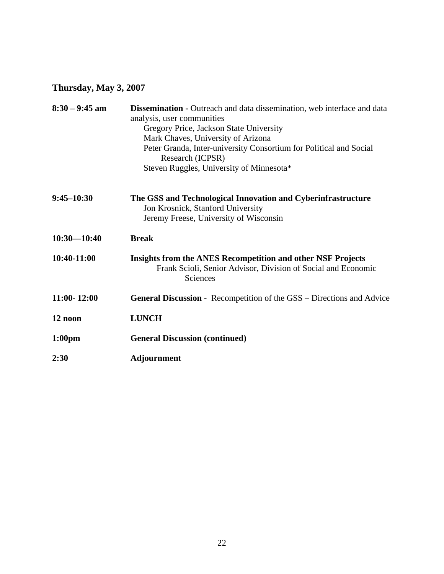# **Thursday, May 3, 2007**

| $8:30 - 9:45$ am   | <b>Dissemination -</b> Outreach and data dissemination, web interface and data<br>analysis, user communities                                    |
|--------------------|-------------------------------------------------------------------------------------------------------------------------------------------------|
|                    | Gregory Price, Jackson State University                                                                                                         |
|                    | Mark Chaves, University of Arizona                                                                                                              |
|                    | Peter Granda, Inter-university Consortium for Political and Social<br>Research (ICPSR)                                                          |
|                    | Steven Ruggles, University of Minnesota*                                                                                                        |
| $9:45 - 10:30$     | The GSS and Technological Innovation and Cyberinfrastructure                                                                                    |
|                    | Jon Krosnick, Stanford University                                                                                                               |
|                    | Jeremy Freese, University of Wisconsin                                                                                                          |
| $10:30 - 10:40$    | <b>Break</b>                                                                                                                                    |
| 10:40-11:00        | <b>Insights from the ANES Recompetition and other NSF Projects</b><br>Frank Scioli, Senior Advisor, Division of Social and Economic<br>Sciences |
| $11:00 - 12:00$    | General Discussion - Recompetition of the GSS - Directions and Advice                                                                           |
| 12 noon            | <b>LUNCH</b>                                                                                                                                    |
| 1:00 <sub>pm</sub> | <b>General Discussion (continued)</b>                                                                                                           |
| 2:30               | Adjournment                                                                                                                                     |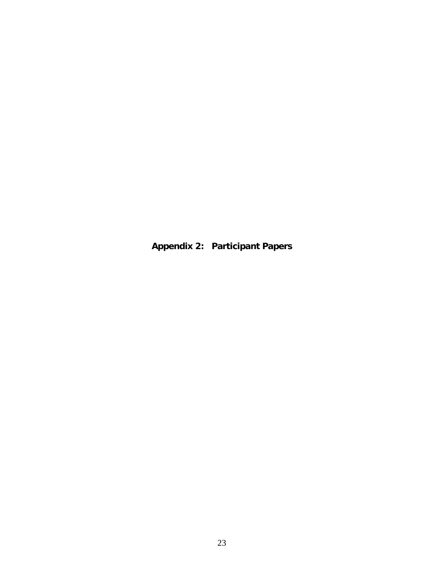**Appendix 2: Participant Papers**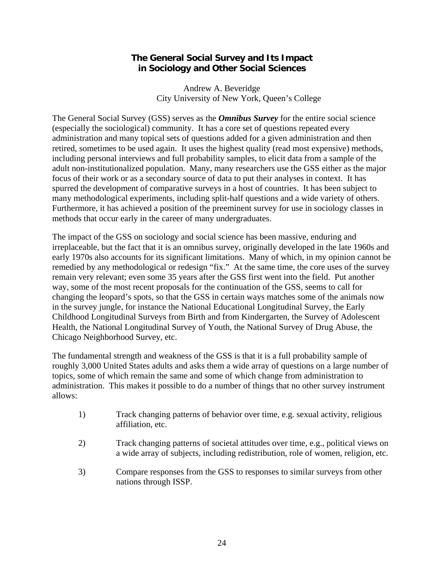#### **The General Social Survey and Its Impact in Sociology and Other Social Sciences**

Andrew A. Beveridge City University of New York, Queen's College

The General Social Survey (GSS) serves as the *Omnibus Survey* for the entire social science (especially the sociological) community. It has a core set of questions repeated every administration and many topical sets of questions added for a given administration and then retired, sometimes to be used again. It uses the highest quality (read most expensive) methods, including personal interviews and full probability samples, to elicit data from a sample of the adult non-institutionalized population. Many, many researchers use the GSS either as the major focus of their work or as a secondary source of data to put their analyses in context. It has spurred the development of comparative surveys in a host of countries. It has been subject to many methodological experiments, including split-half questions and a wide variety of others. Furthermore, it has achieved a position of the preeminent survey for use in sociology classes in methods that occur early in the career of many undergraduates.

The impact of the GSS on sociology and social science has been massive, enduring and irreplaceable, but the fact that it is an omnibus survey, originally developed in the late 1960s and early 1970s also accounts for its significant limitations. Many of which, in my opinion cannot be remedied by any methodological or redesign "fix." At the same time, the core uses of the survey remain very relevant; even some 35 years after the GSS first went into the field. Put another way, some of the most recent proposals for the continuation of the GSS, seems to call for changing the leopard's spots, so that the GSS in certain ways matches some of the animals now in the survey jungle, for instance the National Educational Longitudinal Survey, the Early Childhood Longitudinal Surveys from Birth and from Kindergarten, the Survey of Adolescent Health, the National Longitudinal Survey of Youth, the National Survey of Drug Abuse, the Chicago Neighborhood Survey, etc.

The fundamental strength and weakness of the GSS is that it is a full probability sample of roughly 3,000 United States adults and asks them a wide array of questions on a large number of topics, some of which remain the same and some of which change from administration to administration. This makes it possible to do a number of things that no other survey instrument allows:

- 1) Track changing patterns of behavior over time, e.g. sexual activity, religious affiliation, etc.
- 2) Track changing patterns of societal attitudes over time, e.g., political views on a wide array of subjects, including redistribution, role of women, religion, etc.
- 3) Compare responses from the GSS to responses to similar surveys from other nations through ISSP.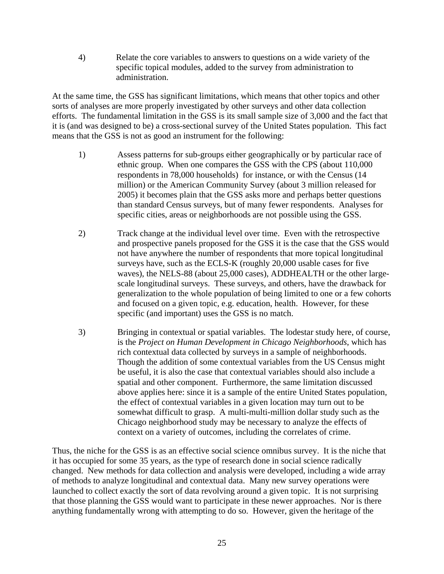4) Relate the core variables to answers to questions on a wide variety of the specific topical modules, added to the survey from administration to administration.

At the same time, the GSS has significant limitations, which means that other topics and other sorts of analyses are more properly investigated by other surveys and other data collection efforts. The fundamental limitation in the GSS is its small sample size of 3,000 and the fact that it is (and was designed to be) a cross-sectional survey of the United States population. This fact means that the GSS is not as good an instrument for the following:

- 1) Assess patterns for sub-groups either geographically or by particular race of ethnic group. When one compares the GSS with the CPS (about 110,000 respondents in 78,000 households) for instance, or with the Census (14 million) or the American Community Survey (about 3 million released for 2005) it becomes plain that the GSS asks more and perhaps better questions than standard Census surveys, but of many fewer respondents. Analyses for specific cities, areas or neighborhoods are not possible using the GSS.
- 2) Track change at the individual level over time. Even with the retrospective and prospective panels proposed for the GSS it is the case that the GSS would not have anywhere the number of respondents that more topical longitudinal surveys have, such as the ECLS-K (roughly 20,000 usable cases for five waves), the NELS-88 (about 25,000 cases), ADDHEALTH or the other largescale longitudinal surveys. These surveys, and others, have the drawback for generalization to the whole population of being limited to one or a few cohorts and focused on a given topic, e.g. education, health. However, for these specific (and important) uses the GSS is no match.
- 3) Bringing in contextual or spatial variables. The lodestar study here, of course, is the *Project on Human Development in Chicago Neighborhoods*, which has rich contextual data collected by surveys in a sample of neighborhoods. Though the addition of some contextual variables from the US Census might be useful, it is also the case that contextual variables should also include a spatial and other component. Furthermore, the same limitation discussed above applies here: since it is a sample of the entire United States population, the effect of contextual variables in a given location may turn out to be somewhat difficult to grasp. A multi-multi-million dollar study such as the Chicago neighborhood study may be necessary to analyze the effects of context on a variety of outcomes, including the correlates of crime.

Thus, the niche for the GSS is as an effective social science omnibus survey. It is the niche that it has occupied for some 35 years, as the type of research done in social science radically changed. New methods for data collection and analysis were developed, including a wide array of methods to analyze longitudinal and contextual data. Many new survey operations were launched to collect exactly the sort of data revolving around a given topic. It is not surprising that those planning the GSS would want to participate in these newer approaches. Nor is there anything fundamentally wrong with attempting to do so. However, given the heritage of the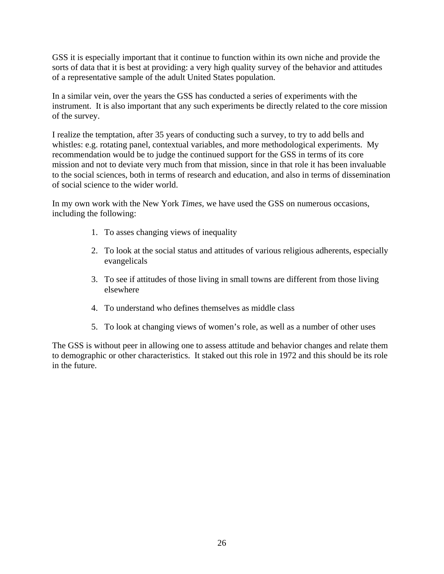GSS it is especially important that it continue to function within its own niche and provide the sorts of data that it is best at providing: a very high quality survey of the behavior and attitudes of a representative sample of the adult United States population.

In a similar vein, over the years the GSS has conducted a series of experiments with the instrument. It is also important that any such experiments be directly related to the core mission of the survey.

I realize the temptation, after 35 years of conducting such a survey, to try to add bells and whistles: e.g. rotating panel, contextual variables, and more methodological experiments. My recommendation would be to judge the continued support for the GSS in terms of its core mission and not to deviate very much from that mission, since in that role it has been invaluable to the social sciences, both in terms of research and education, and also in terms of dissemination of social science to the wider world.

In my own work with the New York *Times,* we have used the GSS on numerous occasions, including the following:

- 1. To asses changing views of inequality
- 2. To look at the social status and attitudes of various religious adherents, especially evangelicals
- 3. To see if attitudes of those living in small towns are different from those living elsewhere
- 4. To understand who defines themselves as middle class
- 5. To look at changing views of women's role, as well as a number of other uses

The GSS is without peer in allowing one to assess attitude and behavior changes and relate them to demographic or other characteristics. It staked out this role in 1972 and this should be its role in the future.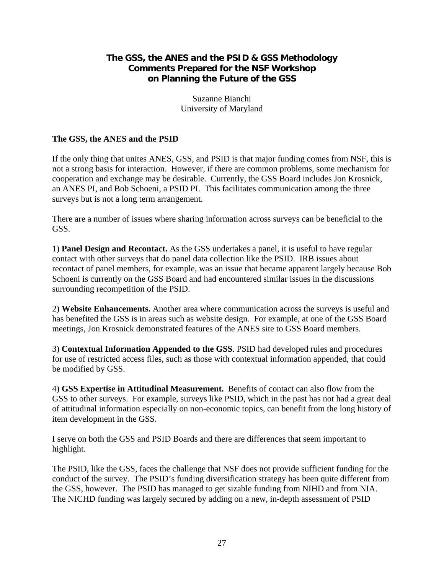# **The GSS, the ANES and the PSID & GSS Methodology Comments Prepared for the NSF Workshop on Planning the Future of the GSS**

Suzanne Bianchi University of Maryland

#### **The GSS, the ANES and the PSID**

If the only thing that unites ANES, GSS, and PSID is that major funding comes from NSF, this is not a strong basis for interaction. However, if there are common problems, some mechanism for cooperation and exchange may be desirable. Currently, the GSS Board includes Jon Krosnick, an ANES PI, and Bob Schoeni, a PSID PI. This facilitates communication among the three surveys but is not a long term arrangement.

There are a number of issues where sharing information across surveys can be beneficial to the GSS.

1) **Panel Design and Recontact.** As the GSS undertakes a panel, it is useful to have regular contact with other surveys that do panel data collection like the PSID. IRB issues about recontact of panel members, for example, was an issue that became apparent largely because Bob Schoeni is currently on the GSS Board and had encountered similar issues in the discussions surrounding recompetition of the PSID.

2) **Website Enhancements.** Another area where communication across the surveys is useful and has benefited the GSS is in areas such as website design. For example, at one of the GSS Board meetings, Jon Krosnick demonstrated features of the ANES site to GSS Board members.

3) **Contextual Information Appended to the GSS**. PSID had developed rules and procedures for use of restricted access files, such as those with contextual information appended, that could be modified by GSS.

4) **GSS Expertise in Attitudinal Measurement.** Benefits of contact can also flow from the GSS to other surveys. For example, surveys like PSID, which in the past has not had a great deal of attitudinal information especially on non-economic topics, can benefit from the long history of item development in the GSS.

I serve on both the GSS and PSID Boards and there are differences that seem important to highlight.

The PSID, like the GSS, faces the challenge that NSF does not provide sufficient funding for the conduct of the survey. The PSID's funding diversification strategy has been quite different from the GSS, however. The PSID has managed to get sizable funding from NIHD and from NIA. The NICHD funding was largely secured by adding on a new, in-depth assessment of PSID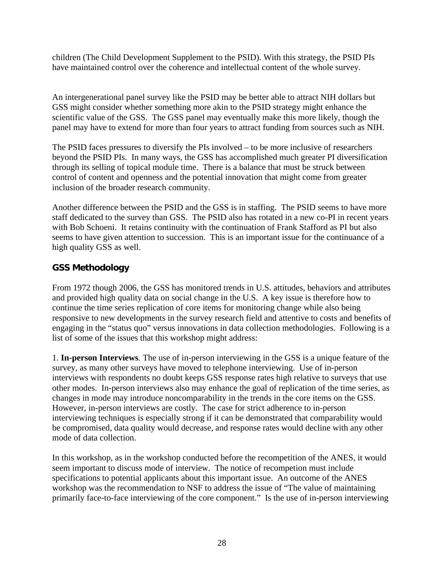children (The Child Development Supplement to the PSID). With this strategy, the PSID PIs have maintained control over the coherence and intellectual content of the whole survey.

An intergenerational panel survey like the PSID may be better able to attract NIH dollars but GSS might consider whether something more akin to the PSID strategy might enhance the scientific value of the GSS. The GSS panel may eventually make this more likely, though the panel may have to extend for more than four years to attract funding from sources such as NIH.

The PSID faces pressures to diversify the PIs involved – to be more inclusive of researchers beyond the PSID PIs. In many ways, the GSS has accomplished much greater PI diversification through its selling of topical module time. There is a balance that must be struck between control of content and openness and the potential innovation that might come from greater inclusion of the broader research community.

Another difference between the PSID and the GSS is in staffing. The PSID seems to have more staff dedicated to the survey than GSS. The PSID also has rotated in a new co-PI in recent years with Bob Schoeni. It retains continuity with the continuation of Frank Stafford as PI but also seems to have given attention to succession. This is an important issue for the continuance of a high quality GSS as well.

# **GSS Methodology**

From 1972 though 2006, the GSS has monitored trends in U.S. attitudes, behaviors and attributes and provided high quality data on social change in the U.S. A key issue is therefore how to continue the time series replication of core items for monitoring change while also being responsive to new developments in the survey research field and attentive to costs and benefits of engaging in the "status quo" versus innovations in data collection methodologies. Following is a list of some of the issues that this workshop might address:

1. **In-person Interviews**. The use of in-person interviewing in the GSS is a unique feature of the survey, as many other surveys have moved to telephone interviewing. Use of in-person interviews with respondents no doubt keeps GSS response rates high relative to surveys that use other modes. In-person interviews also may enhance the goal of replication of the time series, as changes in mode may introduce noncomparability in the trends in the core items on the GSS. However, in-person interviews are costly. The case for strict adherence to in-person interviewing techniques is especially strong if it can be demonstrated that comparability would be compromised, data quality would decrease, and response rates would decline with any other mode of data collection.

In this workshop, as in the workshop conducted before the recompetition of the ANES, it would seem important to discuss mode of interview. The notice of recompetion must include specifications to potential applicants about this important issue. An outcome of the ANES workshop was the recommendation to NSF to address the issue of "The value of maintaining primarily face-to-face interviewing of the core component." Is the use of in-person interviewing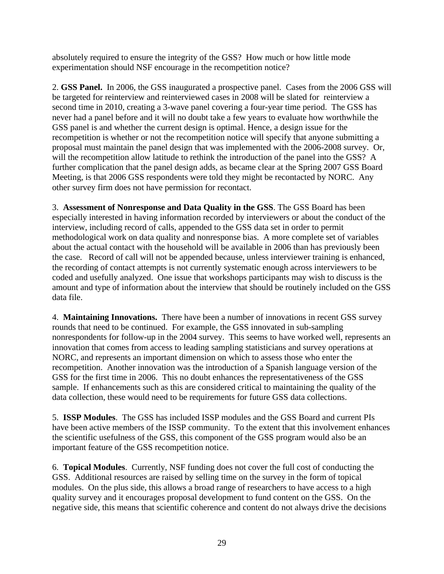absolutely required to ensure the integrity of the GSS? How much or how little mode experimentation should NSF encourage in the recompetition notice?

2. **GSS Panel.** In 2006, the GSS inaugurated a prospective panel. Cases from the 2006 GSS will be targeted for reinterview and reinterviewed cases in 2008 will be slated for reinterview a second time in 2010, creating a 3-wave panel covering a four-year time period. The GSS has never had a panel before and it will no doubt take a few years to evaluate how worthwhile the GSS panel is and whether the current design is optimal. Hence, a design issue for the recompetition is whether or not the recompetition notice will specify that anyone submitting a proposal must maintain the panel design that was implemented with the 2006-2008 survey. Or, will the recompetition allow latitude to rethink the introduction of the panel into the GSS? A further complication that the panel design adds, as became clear at the Spring 2007 GSS Board Meeting, is that 2006 GSS respondents were told they might be recontacted by NORC. Any other survey firm does not have permission for recontact.

3. **Assessment of Nonresponse and Data Quality in the GSS**. The GSS Board has been especially interested in having information recorded by interviewers or about the conduct of the interview, including record of calls, appended to the GSS data set in order to permit methodological work on data quality and nonresponse bias. A more complete set of variables about the actual contact with the household will be available in 2006 than has previously been the case. Record of call will not be appended because, unless interviewer training is enhanced, the recording of contact attempts is not currently systematic enough across interviewers to be coded and usefully analyzed. One issue that workshops participants may wish to discuss is the amount and type of information about the interview that should be routinely included on the GSS data file.

4. **Maintaining Innovations.** There have been a number of innovations in recent GSS survey rounds that need to be continued. For example, the GSS innovated in sub-sampling nonrespondents for follow-up in the 2004 survey. This seems to have worked well, represents an innovation that comes from access to leading sampling statisticians and survey operations at NORC, and represents an important dimension on which to assess those who enter the recompetition. Another innovation was the introduction of a Spanish language version of the GSS for the first time in 2006. This no doubt enhances the representativeness of the GSS sample. If enhancements such as this are considered critical to maintaining the quality of the data collection, these would need to be requirements for future GSS data collections.

5. **ISSP Modules**. The GSS has included ISSP modules and the GSS Board and current PIs have been active members of the ISSP community. To the extent that this involvement enhances the scientific usefulness of the GSS, this component of the GSS program would also be an important feature of the GSS recompetition notice.

6. **Topical Modules**. Currently, NSF funding does not cover the full cost of conducting the GSS. Additional resources are raised by selling time on the survey in the form of topical modules. On the plus side, this allows a broad range of researchers to have access to a high quality survey and it encourages proposal development to fund content on the GSS. On the negative side, this means that scientific coherence and content do not always drive the decisions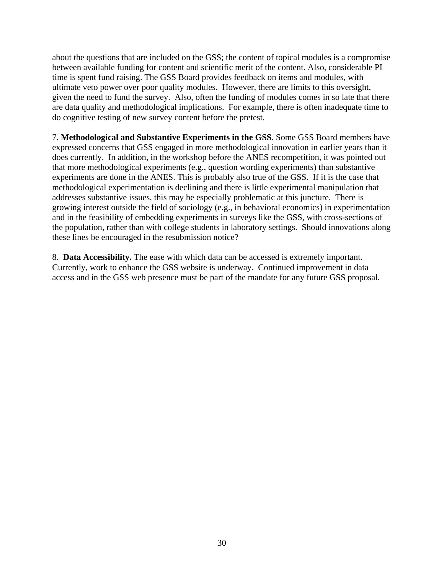about the questions that are included on the GSS; the content of topical modules is a compromise between available funding for content and scientific merit of the content. Also, considerable PI time is spent fund raising. The GSS Board provides feedback on items and modules, with ultimate veto power over poor quality modules. However, there are limits to this oversight, given the need to fund the survey. Also, often the funding of modules comes in so late that there are data quality and methodological implications. For example, there is often inadequate time to do cognitive testing of new survey content before the pretest.

7. **Methodological and Substantive Experiments in the GSS**. Some GSS Board members have expressed concerns that GSS engaged in more methodological innovation in earlier years than it does currently. In addition, in the workshop before the ANES recompetition, it was pointed out that more methodological experiments (e.g., question wording experiments) than substantive experiments are done in the ANES. This is probably also true of the GSS. If it is the case that methodological experimentation is declining and there is little experimental manipulation that addresses substantive issues, this may be especially problematic at this juncture. There is growing interest outside the field of sociology (e.g., in behavioral economics) in experimentation and in the feasibility of embedding experiments in surveys like the GSS, with cross-sections of the population, rather than with college students in laboratory settings. Should innovations along these lines be encouraged in the resubmission notice?

8. **Data Accessibility.** The ease with which data can be accessed is extremely important. Currently, work to enhance the GSS website is underway. Continued improvement in data access and in the GSS web presence must be part of the mandate for any future GSS proposal.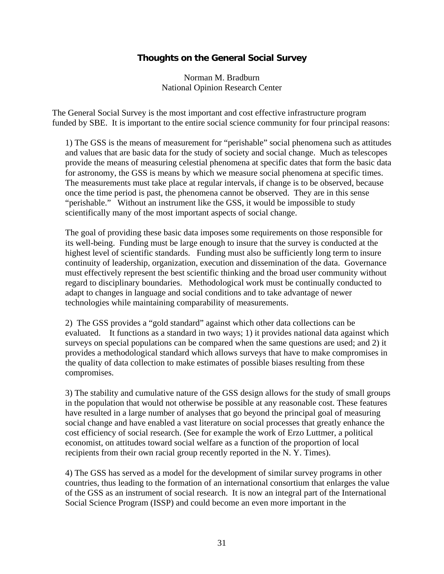#### **Thoughts on the General Social Survey**

Norman M. Bradburn National Opinion Research Center

The General Social Survey is the most important and cost effective infrastructure program funded by SBE. It is important to the entire social science community for four principal reasons:

1) The GSS is the means of measurement for "perishable" social phenomena such as attitudes and values that are basic data for the study of society and social change. Much as telescopes provide the means of measuring celestial phenomena at specific dates that form the basic data for astronomy, the GSS is means by which we measure social phenomena at specific times. The measurements must take place at regular intervals, if change is to be observed, because once the time period is past, the phenomena cannot be observed. They are in this sense "perishable." Without an instrument like the GSS, it would be impossible to study scientifically many of the most important aspects of social change.

The goal of providing these basic data imposes some requirements on those responsible for its well-being. Funding must be large enough to insure that the survey is conducted at the highest level of scientific standards. Funding must also be sufficiently long term to insure continuity of leadership, organization, execution and dissemination of the data. Governance must effectively represent the best scientific thinking and the broad user community without regard to disciplinary boundaries. Methodological work must be continually conducted to adapt to changes in language and social conditions and to take advantage of newer technologies while maintaining comparability of measurements.

2) The GSS provides a "gold standard" against which other data collections can be evaluated. It functions as a standard in two ways; 1) it provides national data against which surveys on special populations can be compared when the same questions are used; and 2) it provides a methodological standard which allows surveys that have to make compromises in the quality of data collection to make estimates of possible biases resulting from these compromises.

3) The stability and cumulative nature of the GSS design allows for the study of small groups in the population that would not otherwise be possible at any reasonable cost. These features have resulted in a large number of analyses that go beyond the principal goal of measuring social change and have enabled a vast literature on social processes that greatly enhance the cost efficiency of social research. (See for example the work of Erzo Luttmer, a political economist, on attitudes toward social welfare as a function of the proportion of local recipients from their own racial group recently reported in the N. Y. Times).

4) The GSS has served as a model for the development of similar survey programs in other countries, thus leading to the formation of an international consortium that enlarges the value of the GSS as an instrument of social research. It is now an integral part of the International Social Science Program (ISSP) and could become an even more important in the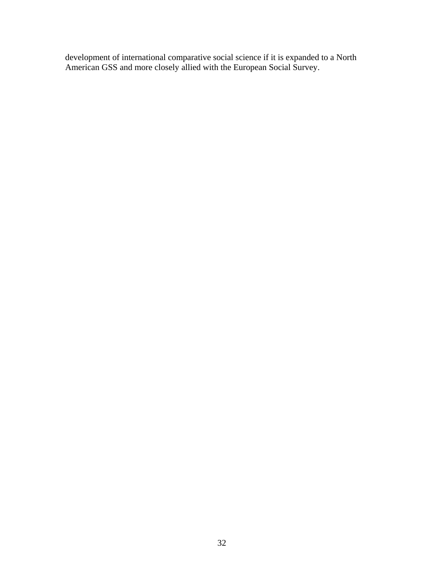development of international comparative social science if it is expanded to a North American GSS and more closely allied with the European Social Survey.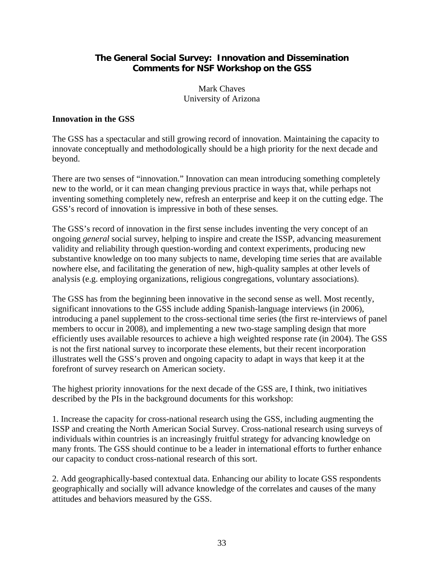#### **The General Social Survey: Innovation and Dissemination Comments for NSF Workshop on the GSS**

Mark Chaves University of Arizona

#### **Innovation in the GSS**

The GSS has a spectacular and still growing record of innovation. Maintaining the capacity to innovate conceptually and methodologically should be a high priority for the next decade and beyond.

There are two senses of "innovation." Innovation can mean introducing something completely new to the world, or it can mean changing previous practice in ways that, while perhaps not inventing something completely new, refresh an enterprise and keep it on the cutting edge. The GSS's record of innovation is impressive in both of these senses.

The GSS's record of innovation in the first sense includes inventing the very concept of an ongoing *general* social survey, helping to inspire and create the ISSP, advancing measurement validity and reliability through question-wording and context experiments, producing new substantive knowledge on too many subjects to name, developing time series that are available nowhere else, and facilitating the generation of new, high-quality samples at other levels of analysis (e.g. employing organizations, religious congregations, voluntary associations).

The GSS has from the beginning been innovative in the second sense as well. Most recently, significant innovations to the GSS include adding Spanish-language interviews (in 2006), introducing a panel supplement to the cross-sectional time series (the first re-interviews of panel members to occur in 2008), and implementing a new two-stage sampling design that more efficiently uses available resources to achieve a high weighted response rate (in 2004). The GSS is not the first national survey to incorporate these elements, but their recent incorporation illustrates well the GSS's proven and ongoing capacity to adapt in ways that keep it at the forefront of survey research on American society.

The highest priority innovations for the next decade of the GSS are, I think, two initiatives described by the PIs in the background documents for this workshop:

1. Increase the capacity for cross-national research using the GSS, including augmenting the ISSP and creating the North American Social Survey. Cross-national research using surveys of individuals within countries is an increasingly fruitful strategy for advancing knowledge on many fronts. The GSS should continue to be a leader in international efforts to further enhance our capacity to conduct cross-national research of this sort.

2. Add geographically-based contextual data. Enhancing our ability to locate GSS respondents geographically and socially will advance knowledge of the correlates and causes of the many attitudes and behaviors measured by the GSS.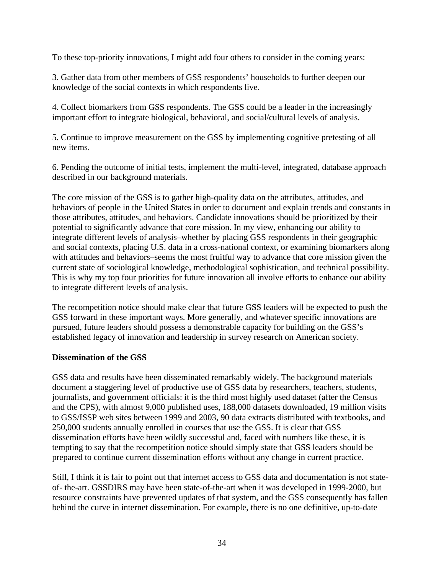To these top-priority innovations, I might add four others to consider in the coming years:

3. Gather data from other members of GSS respondents' households to further deepen our knowledge of the social contexts in which respondents live.

4. Collect biomarkers from GSS respondents. The GSS could be a leader in the increasingly important effort to integrate biological, behavioral, and social/cultural levels of analysis.

5. Continue to improve measurement on the GSS by implementing cognitive pretesting of all new items.

6. Pending the outcome of initial tests, implement the multi-level, integrated, database approach described in our background materials.

The core mission of the GSS is to gather high-quality data on the attributes, attitudes, and behaviors of people in the United States in order to document and explain trends and constants in those attributes, attitudes, and behaviors. Candidate innovations should be prioritized by their potential to significantly advance that core mission. In my view, enhancing our ability to integrate different levels of analysis–whether by placing GSS respondents in their geographic and social contexts, placing U.S. data in a cross-national context, or examining biomarkers along with attitudes and behaviors–seems the most fruitful way to advance that core mission given the current state of sociological knowledge, methodological sophistication, and technical possibility. This is why my top four priorities for future innovation all involve efforts to enhance our ability to integrate different levels of analysis.

The recompetition notice should make clear that future GSS leaders will be expected to push the GSS forward in these important ways. More generally, and whatever specific innovations are pursued, future leaders should possess a demonstrable capacity for building on the GSS's established legacy of innovation and leadership in survey research on American society.

#### **Dissemination of the GSS**

GSS data and results have been disseminated remarkably widely. The background materials document a staggering level of productive use of GSS data by researchers, teachers, students, journalists, and government officials: it is the third most highly used dataset (after the Census and the CPS), with almost 9,000 published uses, 188,000 datasets downloaded, 19 million visits to GSS/ISSP web sites between 1999 and 2003, 90 data extracts distributed with textbooks, and 250,000 students annually enrolled in courses that use the GSS. It is clear that GSS dissemination efforts have been wildly successful and, faced with numbers like these, it is tempting to say that the recompetition notice should simply state that GSS leaders should be prepared to continue current dissemination efforts without any change in current practice.

Still, I think it is fair to point out that internet access to GSS data and documentation is not stateof- the-art. GSSDIRS may have been state-of-the-art when it was developed in 1999-2000, but resource constraints have prevented updates of that system, and the GSS consequently has fallen behind the curve in internet dissemination. For example, there is no one definitive, up-to-date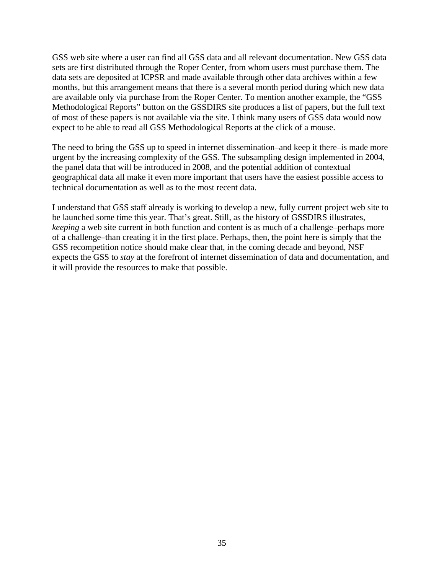GSS web site where a user can find all GSS data and all relevant documentation. New GSS data sets are first distributed through the Roper Center, from whom users must purchase them. The data sets are deposited at ICPSR and made available through other data archives within a few months, but this arrangement means that there is a several month period during which new data are available only via purchase from the Roper Center. To mention another example, the "GSS Methodological Reports" button on the GSSDIRS site produces a list of papers, but the full text of most of these papers is not available via the site. I think many users of GSS data would now expect to be able to read all GSS Methodological Reports at the click of a mouse.

The need to bring the GSS up to speed in internet dissemination–and keep it there–is made more urgent by the increasing complexity of the GSS. The subsampling design implemented in 2004, the panel data that will be introduced in 2008, and the potential addition of contextual geographical data all make it even more important that users have the easiest possible access to technical documentation as well as to the most recent data.

I understand that GSS staff already is working to develop a new, fully current project web site to be launched some time this year. That's great. Still, as the history of GSSDIRS illustrates, *keeping* a web site current in both function and content is as much of a challenge–perhaps more of a challenge–than creating it in the first place. Perhaps, then, the point here is simply that the GSS recompetition notice should make clear that, in the coming decade and beyond, NSF expects the GSS to *stay* at the forefront of internet dissemination of data and documentation, and it will provide the resources to make that possible.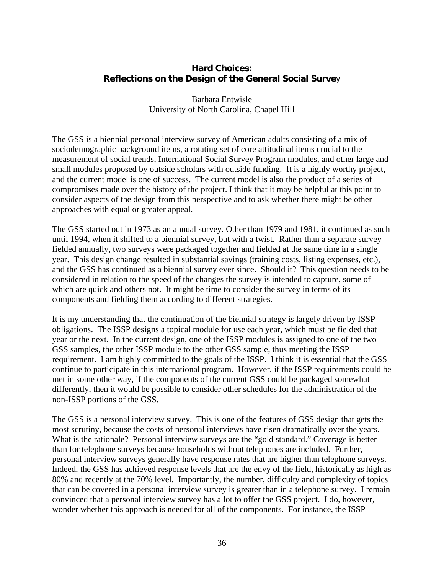# **Hard Choices: Reflections on the Design of the General Social Surve**y

Barbara Entwisle University of North Carolina, Chapel Hill

The GSS is a biennial personal interview survey of American adults consisting of a mix of sociodemographic background items, a rotating set of core attitudinal items crucial to the measurement of social trends, International Social Survey Program modules, and other large and small modules proposed by outside scholars with outside funding. It is a highly worthy project, and the current model is one of success. The current model is also the product of a series of compromises made over the history of the project. I think that it may be helpful at this point to consider aspects of the design from this perspective and to ask whether there might be other approaches with equal or greater appeal.

The GSS started out in 1973 as an annual survey. Other than 1979 and 1981, it continued as such until 1994, when it shifted to a biennial survey, but with a twist. Rather than a separate survey fielded annually, two surveys were packaged together and fielded at the same time in a single year. This design change resulted in substantial savings (training costs, listing expenses, etc.), and the GSS has continued as a biennial survey ever since. Should it? This question needs to be considered in relation to the speed of the changes the survey is intended to capture, some of which are quick and others not. It might be time to consider the survey in terms of its components and fielding them according to different strategies.

It is my understanding that the continuation of the biennial strategy is largely driven by ISSP obligations. The ISSP designs a topical module for use each year, which must be fielded that year or the next. In the current design, one of the ISSP modules is assigned to one of the two GSS samples, the other ISSP module to the other GSS sample, thus meeting the ISSP requirement. I am highly committed to the goals of the ISSP. I think it is essential that the GSS continue to participate in this international program. However, if the ISSP requirements could be met in some other way, if the components of the current GSS could be packaged somewhat differently, then it would be possible to consider other schedules for the administration of the non-ISSP portions of the GSS.

The GSS is a personal interview survey. This is one of the features of GSS design that gets the most scrutiny, because the costs of personal interviews have risen dramatically over the years. What is the rationale? Personal interview surveys are the "gold standard." Coverage is better than for telephone surveys because households without telephones are included. Further, personal interview surveys generally have response rates that are higher than telephone surveys. Indeed, the GSS has achieved response levels that are the envy of the field, historically as high as 80% and recently at the 70% level. Importantly, the number, difficulty and complexity of topics that can be covered in a personal interview survey is greater than in a telephone survey. I remain convinced that a personal interview survey has a lot to offer the GSS project. I do, however, wonder whether this approach is needed for all of the components. For instance, the ISSP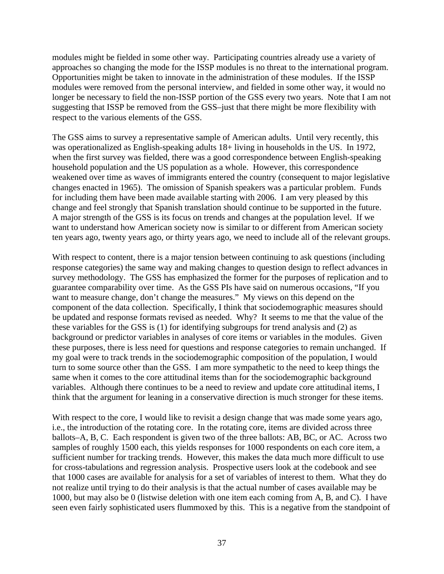modules might be fielded in some other way. Participating countries already use a variety of approaches so changing the mode for the ISSP modules is no threat to the international program. Opportunities might be taken to innovate in the administration of these modules. If the ISSP modules were removed from the personal interview, and fielded in some other way, it would no longer be necessary to field the non-ISSP portion of the GSS every two years. Note that I am not suggesting that ISSP be removed from the GSS–just that there might be more flexibility with respect to the various elements of the GSS.

The GSS aims to survey a representative sample of American adults. Until very recently, this was operationalized as English-speaking adults 18+ living in households in the US. In 1972, when the first survey was fielded, there was a good correspondence between English-speaking household population and the US population as a whole. However, this correspondence weakened over time as waves of immigrants entered the country (consequent to major legislative changes enacted in 1965). The omission of Spanish speakers was a particular problem. Funds for including them have been made available starting with 2006. I am very pleased by this change and feel strongly that Spanish translation should continue to be supported in the future. A major strength of the GSS is its focus on trends and changes at the population level. If we want to understand how American society now is similar to or different from American society ten years ago, twenty years ago, or thirty years ago, we need to include all of the relevant groups.

With respect to content, there is a major tension between continuing to ask questions (including response categories) the same way and making changes to question design to reflect advances in survey methodology. The GSS has emphasized the former for the purposes of replication and to guarantee comparability over time. As the GSS PIs have said on numerous occasions, "If you want to measure change, don't change the measures." My views on this depend on the component of the data collection. Specifically, I think that sociodemographic measures should be updated and response formats revised as needed. Why? It seems to me that the value of the these variables for the GSS is (1) for identifying subgroups for trend analysis and (2) as background or predictor variables in analyses of core items or variables in the modules. Given these purposes, there is less need for questions and response categories to remain unchanged. If my goal were to track trends in the sociodemographic composition of the population, I would turn to some source other than the GSS. I am more sympathetic to the need to keep things the same when it comes to the core attitudinal items than for the sociodemographic background variables. Although there continues to be a need to review and update core attitudinal items, I think that the argument for leaning in a conservative direction is much stronger for these items.

With respect to the core, I would like to revisit a design change that was made some years ago, i.e., the introduction of the rotating core. In the rotating core, items are divided across three ballots–A, B, C. Each respondent is given two of the three ballots: AB, BC, or AC. Across two samples of roughly 1500 each, this yields responses for 1000 respondents on each core item, a sufficient number for tracking trends. However, this makes the data much more difficult to use for cross-tabulations and regression analysis. Prospective users look at the codebook and see that 1000 cases are available for analysis for a set of variables of interest to them. What they do not realize until trying to do their analysis is that the actual number of cases available may be 1000, but may also be 0 (listwise deletion with one item each coming from A, B, and C). I have seen even fairly sophisticated users flummoxed by this. This is a negative from the standpoint of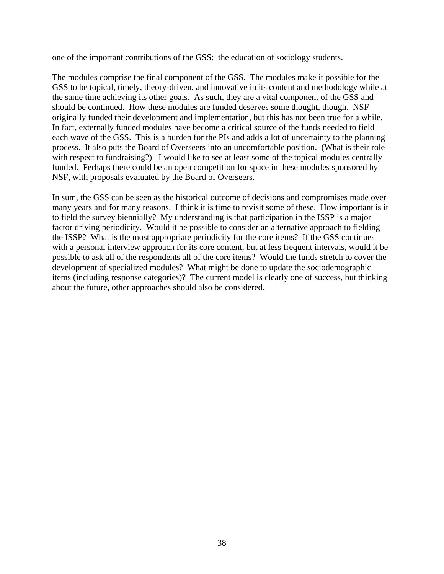one of the important contributions of the GSS: the education of sociology students.

The modules comprise the final component of the GSS. The modules make it possible for the GSS to be topical, timely, theory-driven, and innovative in its content and methodology while at the same time achieving its other goals. As such, they are a vital component of the GSS and should be continued. How these modules are funded deserves some thought, though. NSF originally funded their development and implementation, but this has not been true for a while. In fact, externally funded modules have become a critical source of the funds needed to field each wave of the GSS. This is a burden for the PIs and adds a lot of uncertainty to the planning process. It also puts the Board of Overseers into an uncomfortable position. (What is their role with respect to fundraising?) I would like to see at least some of the topical modules centrally funded. Perhaps there could be an open competition for space in these modules sponsored by NSF, with proposals evaluated by the Board of Overseers.

In sum, the GSS can be seen as the historical outcome of decisions and compromises made over many years and for many reasons. I think it is time to revisit some of these. How important is it to field the survey biennially? My understanding is that participation in the ISSP is a major factor driving periodicity. Would it be possible to consider an alternative approach to fielding the ISSP? What is the most appropriate periodicity for the core items? If the GSS continues with a personal interview approach for its core content, but at less frequent intervals, would it be possible to ask all of the respondents all of the core items? Would the funds stretch to cover the development of specialized modules? What might be done to update the sociodemographic items (including response categories)? The current model is clearly one of success, but thinking about the future, other approaches should also be considered.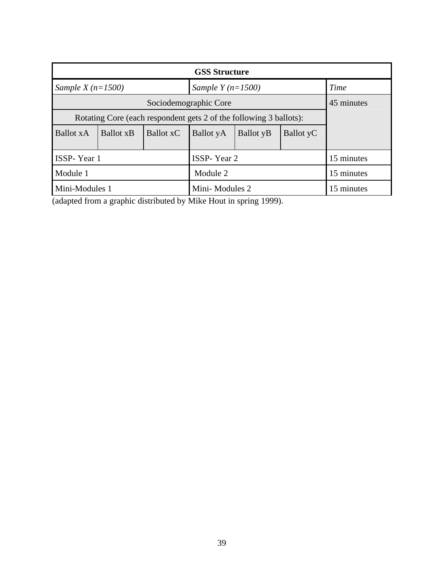| <b>GSS Structure</b>                                               |                          |           |                    |                          |           |            |
|--------------------------------------------------------------------|--------------------------|-----------|--------------------|--------------------------|-----------|------------|
| Sample X $(n=1500)$                                                |                          |           | Sample $Y(n=1500)$ |                          |           | Time       |
| Sociodemographic Core                                              |                          |           |                    |                          |           | 45 minutes |
| Rotating Core (each respondent gets 2 of the following 3 ballots): |                          |           |                    |                          |           |            |
| <b>Ballot xA</b>                                                   | <b>Ballot</b> x <b>B</b> | Ballot xC | Ballot yA          | <b>Ballot</b> y <b>B</b> | Ballot yC |            |
|                                                                    |                          |           |                    |                          |           |            |
| ISSP-Year 1                                                        |                          |           | ISSP-Year 2        |                          |           | 15 minutes |
| Module 1                                                           |                          |           | Module 2           |                          |           | 15 minutes |
| Mini-Modules 1                                                     |                          |           | Mini-Modules 2     |                          |           | 15 minutes |

(adapted from a graphic distributed by Mike Hout in spring 1999).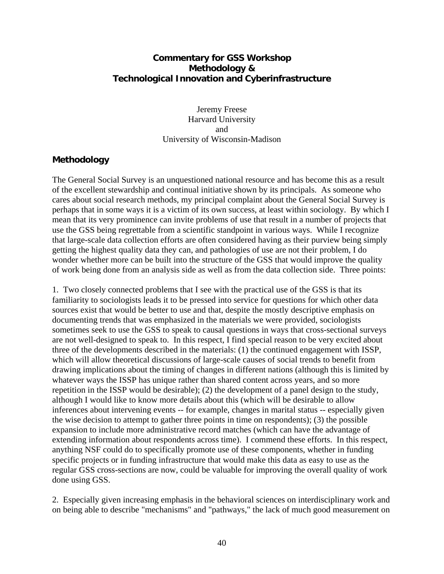# **Commentary for GSS Workshop Methodology & Technological Innovation and Cyberinfrastructure**

Jeremy Freese Harvard University and University of Wisconsin-Madison

# **Methodology**

The General Social Survey is an unquestioned national resource and has become this as a result of the excellent stewardship and continual initiative shown by its principals. As someone who cares about social research methods, my principal complaint about the General Social Survey is perhaps that in some ways it is a victim of its own success, at least within sociology. By which I mean that its very prominence can invite problems of use that result in a number of projects that use the GSS being regrettable from a scientific standpoint in various ways. While I recognize that large-scale data collection efforts are often considered having as their purview being simply getting the highest quality data they can, and pathologies of use are not their problem, I do wonder whether more can be built into the structure of the GSS that would improve the quality of work being done from an analysis side as well as from the data collection side. Three points:

1. Two closely connected problems that I see with the practical use of the GSS is that its familiarity to sociologists leads it to be pressed into service for questions for which other data sources exist that would be better to use and that, despite the mostly descriptive emphasis on documenting trends that was emphasized in the materials we were provided, sociologists sometimes seek to use the GSS to speak to causal questions in ways that cross-sectional surveys are not well-designed to speak to. In this respect, I find special reason to be very excited about three of the developments described in the materials: (1) the continued engagement with ISSP, which will allow theoretical discussions of large-scale causes of social trends to benefit from drawing implications about the timing of changes in different nations (although this is limited by whatever ways the ISSP has unique rather than shared content across years, and so more repetition in the ISSP would be desirable); (2) the development of a panel design to the study, although I would like to know more details about this (which will be desirable to allow inferences about intervening events -- for example, changes in marital status -- especially given the wise decision to attempt to gather three points in time on respondents); (3) the possible expansion to include more administrative record matches (which can have the advantage of extending information about respondents across time). I commend these efforts. In this respect, anything NSF could do to specifically promote use of these components, whether in funding specific projects or in funding infrastructure that would make this data as easy to use as the regular GSS cross-sections are now, could be valuable for improving the overall quality of work done using GSS.

2. Especially given increasing emphasis in the behavioral sciences on interdisciplinary work and on being able to describe "mechanisms" and "pathways," the lack of much good measurement on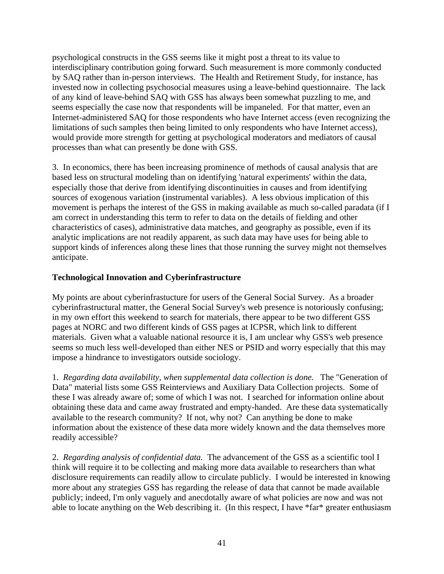psychological constructs in the GSS seems like it might post a threat to its value to interdisciplinary contribution going forward. Such measurement is more commonly conducted by SAQ rather than in-person interviews. The Health and Retirement Study, for instance, has invested now in collecting psychosocial measures using a leave-behind questionnaire. The lack of any kind of leave-behind SAQ with GSS has always been somewhat puzzling to me, and seems especially the case now that respondents will be impaneled. For that matter, even an Internet-administered SAQ for those respondents who have Internet access (even recognizing the limitations of such samples then being limited to only respondents who have Internet access), would provide more strength for getting at psychological moderators and mediators of causal processes than what can presently be done with GSS.

3. In economics, there has been increasing prominence of methods of causal analysis that are based less on structural modeling than on identifying 'natural experiments' within the data, especially those that derive from identifying discontinuities in causes and from identifying sources of exogenous variation (instrumental variables). A less obvious implication of this movement is perhaps the interest of the GSS in making available as much so-called paradata (if I am correct in understanding this term to refer to data on the details of fielding and other characteristics of cases), administrative data matches, and geography as possible, even if its analytic implications are not readily apparent, as such data may have uses for being able to support kinds of inferences along these lines that those running the survey might not themselves anticipate.

# **Technological Innovation and Cyberinfrastructure**

My points are about cyberinfrastucture for users of the General Social Survey. As a broader cyberinfrastructural matter, the General Social Survey's web presence is notoriously confusing; in my own effort this weekend to search for materials, there appear to be two different GSS pages at NORC and two different kinds of GSS pages at ICPSR, which link to different materials. Given what a valuable national resource it is, I am unclear why GSS's web presence seems so much less well-developed than either NES or PSID and worry especially that this may impose a hindrance to investigators outside sociology.

1. *Regarding data availability, when supplemental data collection is done.* The "Generation of Data" material lists some GSS Reinterviews and Auxiliary Data Collection projects. Some of these I was already aware of; some of which I was not. I searched for information online about obtaining these data and came away frustrated and empty-handed. Are these data systematically available to the research community? If not, why not? Can anything be done to make information about the existence of these data more widely known and the data themselves more readily accessible?

2. *Regarding analysis of confidential data.* The advancement of the GSS as a scientific tool I think will require it to be collecting and making more data available to researchers than what disclosure requirements can readily allow to circulate publicly. I would be interested in knowing more about any strategies GSS has regarding the release of data that cannot be made available publicly; indeed, I'm only vaguely and anecdotally aware of what policies are now and was not able to locate anything on the Web describing it. (In this respect, I have \*far\* greater enthusiasm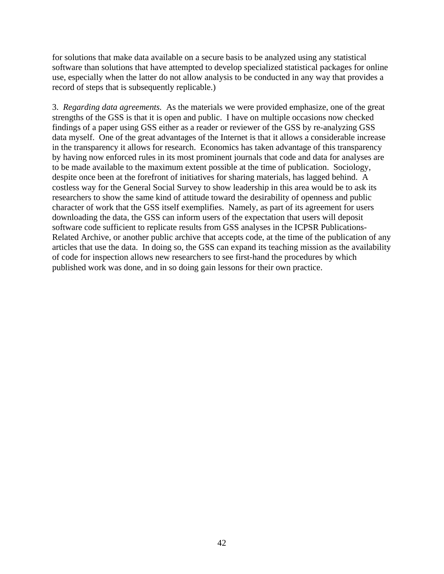for solutions that make data available on a secure basis to be analyzed using any statistical software than solutions that have attempted to develop specialized statistical packages for online use, especially when the latter do not allow analysis to be conducted in any way that provides a record of steps that is subsequently replicable.)

3. *Regarding data agreements.* As the materials we were provided emphasize, one of the great strengths of the GSS is that it is open and public. I have on multiple occasions now checked findings of a paper using GSS either as a reader or reviewer of the GSS by re-analyzing GSS data myself. One of the great advantages of the Internet is that it allows a considerable increase in the transparency it allows for research. Economics has taken advantage of this transparency by having now enforced rules in its most prominent journals that code and data for analyses are to be made available to the maximum extent possible at the time of publication. Sociology, despite once been at the forefront of initiatives for sharing materials, has lagged behind. A costless way for the General Social Survey to show leadership in this area would be to ask its researchers to show the same kind of attitude toward the desirability of openness and public character of work that the GSS itself exemplifies. Namely, as part of its agreement for users downloading the data, the GSS can inform users of the expectation that users will deposit software code sufficient to replicate results from GSS analyses in the ICPSR Publications-Related Archive, or another public archive that accepts code, at the time of the publication of any articles that use the data. In doing so, the GSS can expand its teaching mission as the availability of code for inspection allows new researchers to see first-hand the procedures by which published work was done, and in so doing gain lessons for their own practice.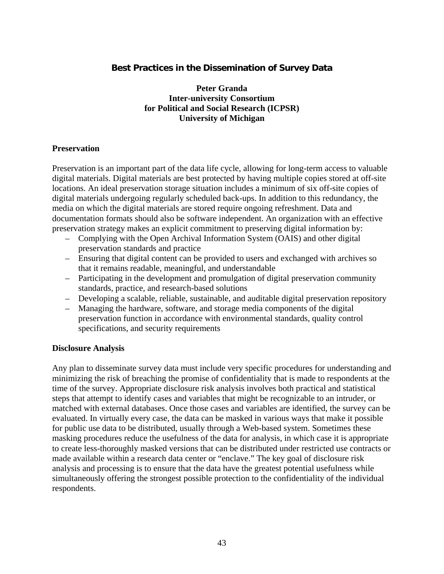# **Best Practices in the Dissemination of Survey Data**

**Peter Granda Inter-university Consortium for Political and Social Research (ICPSR) University of Michigan** 

#### **Preservation**

Preservation is an important part of the data life cycle, allowing for long-term access to valuable digital materials. Digital materials are best protected by having multiple copies stored at off-site locations. An ideal preservation storage situation includes a minimum of six off-site copies of digital materials undergoing regularly scheduled back-ups. In addition to this redundancy, the media on which the digital materials are stored require ongoing refreshment. Data and documentation formats should also be software independent. An organization with an effective preservation strategy makes an explicit commitment to preserving digital information by:

- Complying with the Open Archival Information System (OAIS) and other digital preservation standards and practice
- Ensuring that digital content can be provided to users and exchanged with archives so that it remains readable, meaningful, and understandable
- Participating in the development and promulgation of digital preservation community standards, practice, and research-based solutions
- Developing a scalable, reliable, sustainable, and auditable digital preservation repository
- Managing the hardware, software, and storage media components of the digital preservation function in accordance with environmental standards, quality control specifications, and security requirements

#### **Disclosure Analysis**

Any plan to disseminate survey data must include very specific procedures for understanding and minimizing the risk of breaching the promise of confidentiality that is made to respondents at the time of the survey. Appropriate disclosure risk analysis involves both practical and statistical steps that attempt to identify cases and variables that might be recognizable to an intruder, or matched with external databases. Once those cases and variables are identified, the survey can be evaluated. In virtually every case, the data can be masked in various ways that make it possible for public use data to be distributed, usually through a Web-based system. Sometimes these masking procedures reduce the usefulness of the data for analysis, in which case it is appropriate to create less-thoroughly masked versions that can be distributed under restricted use contracts or made available within a research data center or "enclave." The key goal of disclosure risk analysis and processing is to ensure that the data have the greatest potential usefulness while simultaneously offering the strongest possible protection to the confidentiality of the individual respondents.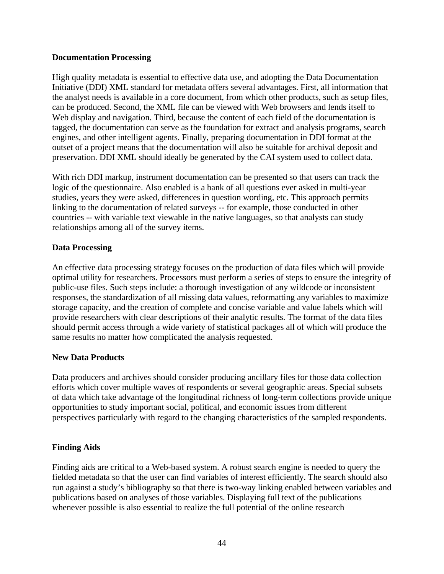### **Documentation Processing**

High quality metadata is essential to effective data use, and adopting the Data Documentation Initiative (DDI) XML standard for metadata offers several advantages. First, all information that the analyst needs is available in a core document, from which other products, such as setup files, can be produced. Second, the XML file can be viewed with Web browsers and lends itself to Web display and navigation. Third, because the content of each field of the documentation is tagged, the documentation can serve as the foundation for extract and analysis programs, search engines, and other intelligent agents. Finally, preparing documentation in DDI format at the outset of a project means that the documentation will also be suitable for archival deposit and preservation. DDI XML should ideally be generated by the CAI system used to collect data.

With rich DDI markup, instrument documentation can be presented so that users can track the logic of the questionnaire. Also enabled is a bank of all questions ever asked in multi-year studies, years they were asked, differences in question wording, etc. This approach permits linking to the documentation of related surveys -- for example, those conducted in other countries -- with variable text viewable in the native languages, so that analysts can study relationships among all of the survey items.

### **Data Processing**

An effective data processing strategy focuses on the production of data files which will provide optimal utility for researchers. Processors must perform a series of steps to ensure the integrity of public-use files. Such steps include: a thorough investigation of any wildcode or inconsistent responses, the standardization of all missing data values, reformatting any variables to maximize storage capacity, and the creation of complete and concise variable and value labels which will provide researchers with clear descriptions of their analytic results. The format of the data files should permit access through a wide variety of statistical packages all of which will produce the same results no matter how complicated the analysis requested.

# **New Data Products**

Data producers and archives should consider producing ancillary files for those data collection efforts which cover multiple waves of respondents or several geographic areas. Special subsets of data which take advantage of the longitudinal richness of long-term collections provide unique opportunities to study important social, political, and economic issues from different perspectives particularly with regard to the changing characteristics of the sampled respondents.

# **Finding Aids**

Finding aids are critical to a Web-based system. A robust search engine is needed to query the fielded metadata so that the user can find variables of interest efficiently. The search should also run against a study's bibliography so that there is two-way linking enabled between variables and publications based on analyses of those variables. Displaying full text of the publications whenever possible is also essential to realize the full potential of the online research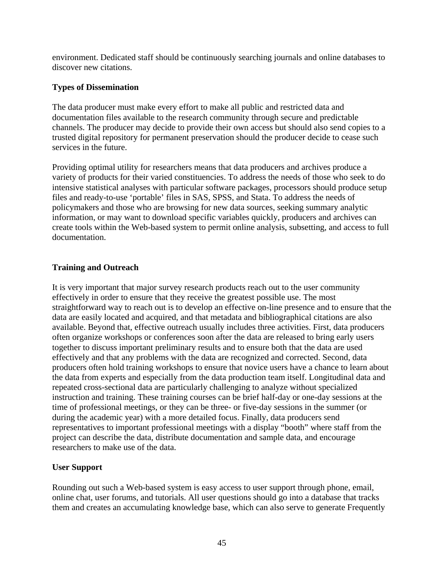environment. Dedicated staff should be continuously searching journals and online databases to discover new citations.

# **Types of Dissemination**

The data producer must make every effort to make all public and restricted data and documentation files available to the research community through secure and predictable channels. The producer may decide to provide their own access but should also send copies to a trusted digital repository for permanent preservation should the producer decide to cease such services in the future.

Providing optimal utility for researchers means that data producers and archives produce a variety of products for their varied constituencies. To address the needs of those who seek to do intensive statistical analyses with particular software packages, processors should produce setup files and ready-to-use 'portable' files in SAS, SPSS, and Stata. To address the needs of policymakers and those who are browsing for new data sources, seeking summary analytic information, or may want to download specific variables quickly, producers and archives can create tools within the Web-based system to permit online analysis, subsetting, and access to full documentation.

# **Training and Outreach**

It is very important that major survey research products reach out to the user community effectively in order to ensure that they receive the greatest possible use. The most straightforward way to reach out is to develop an effective on-line presence and to ensure that the data are easily located and acquired, and that metadata and bibliographical citations are also available. Beyond that, effective outreach usually includes three activities. First, data producers often organize workshops or conferences soon after the data are released to bring early users together to discuss important preliminary results and to ensure both that the data are used effectively and that any problems with the data are recognized and corrected. Second, data producers often hold training workshops to ensure that novice users have a chance to learn about the data from experts and especially from the data production team itself. Longitudinal data and repeated cross-sectional data are particularly challenging to analyze without specialized instruction and training. These training courses can be brief half-day or one-day sessions at the time of professional meetings, or they can be three- or five-day sessions in the summer (or during the academic year) with a more detailed focus. Finally, data producers send representatives to important professional meetings with a display "booth" where staff from the project can describe the data, distribute documentation and sample data, and encourage researchers to make use of the data.

# **User Support**

Rounding out such a Web-based system is easy access to user support through phone, email, online chat, user forums, and tutorials. All user questions should go into a database that tracks them and creates an accumulating knowledge base, which can also serve to generate Frequently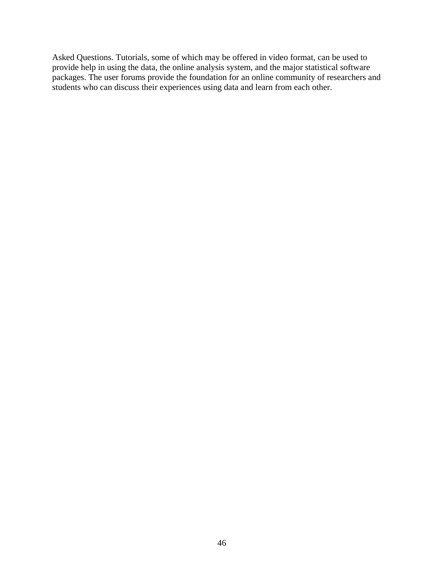Asked Questions. Tutorials, some of which may be offered in video format, can be used to provide help in using the data, the online analysis system, and the major statistical software packages. The user forums provide the foundation for an online community of researchers and students who can discuss their experiences using data and learn from each other.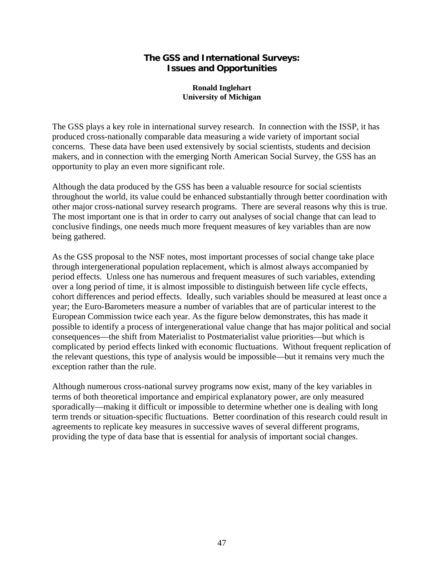# **The GSS and International Surveys: Issues and Opportunities**

#### **Ronald Inglehart University of Michigan**

The GSS plays a key role in international survey research. In connection with the ISSP, it has produced cross-nationally comparable data measuring a wide variety of important social concerns. These data have been used extensively by social scientists, students and decision makers, and in connection with the emerging North American Social Survey, the GSS has an opportunity to play an even more significant role.

Although the data produced by the GSS has been a valuable resource for social scientists throughout the world, its value could be enhanced substantially through better coordination with other major cross-national survey research programs. There are several reasons why this is true. The most important one is that in order to carry out analyses of social change that can lead to conclusive findings, one needs much more frequent measures of key variables than are now being gathered.

As the GSS proposal to the NSF notes, most important processes of social change take place through intergenerational population replacement, which is almost always accompanied by period effects. Unless one has numerous and frequent measures of such variables, extending over a long period of time, it is almost impossible to distinguish between life cycle effects, cohort differences and period effects. Ideally, such variables should be measured at least once a year; the Euro-Barometers measure a number of variables that are of particular interest to the European Commission twice each year. As the figure below demonstrates, this has made it possible to identify a process of intergenerational value change that has major political and social consequences—the shift from Materialist to Postmaterialist value priorities—but which is complicated by period effects linked with economic fluctuations. Without frequent replication of the relevant questions, this type of analysis would be impossible—but it remains very much the exception rather than the rule.

Although numerous cross-national survey programs now exist, many of the key variables in terms of both theoretical importance and empirical explanatory power, are only measured sporadically—making it difficult or impossible to determine whether one is dealing with long term trends or situation-specific fluctuations. Better coordination of this research could result in agreements to replicate key measures in successive waves of several different programs, providing the type of data base that is essential for analysis of important social changes.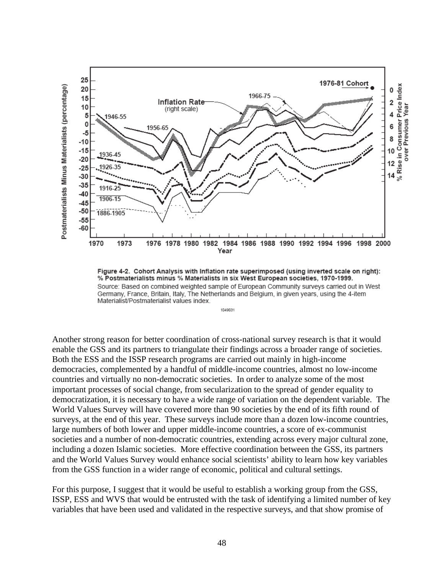

Figure 4-2. Cohort Analysis with Inflation rate superimposed (using inverted scale on right): % Postmaterialists minus % Materialists in six West European societies, 1970-1999. Source: Based on combined weighted sample of European Community surveys carried out in West Germany, France, Britain, Italy, The Netherlands and Belgium, in given years, using the 4-item Materialist/Postmaterialist values index.

1049031

Another strong reason for better coordination of cross-national survey research is that it would enable the GSS and its partners to triangulate their findings across a broader range of societies. Both the ESS and the ISSP research programs are carried out mainly in high-income democracies, complemented by a handful of middle-income countries, almost no low-income countries and virtually no non-democratic societies. In order to analyze some of the most important processes of social change, from secularization to the spread of gender equality to democratization, it is necessary to have a wide range of variation on the dependent variable. The World Values Survey will have covered more than 90 societies by the end of its fifth round of surveys, at the end of this year. These surveys include more than a dozen low-income countries, large numbers of both lower and upper middle-income countries, a score of ex-communist societies and a number of non-democratic countries, extending across every major cultural zone, including a dozen Islamic societies. More effective coordination between the GSS, its partners and the World Values Survey would enhance social scientists' ability to learn how key variables from the GSS function in a wider range of economic, political and cultural settings.

For this purpose, I suggest that it would be useful to establish a working group from the GSS, ISSP, ESS and WVS that would be entrusted with the task of identifying a limited number of key variables that have been used and validated in the respective surveys, and that show promise of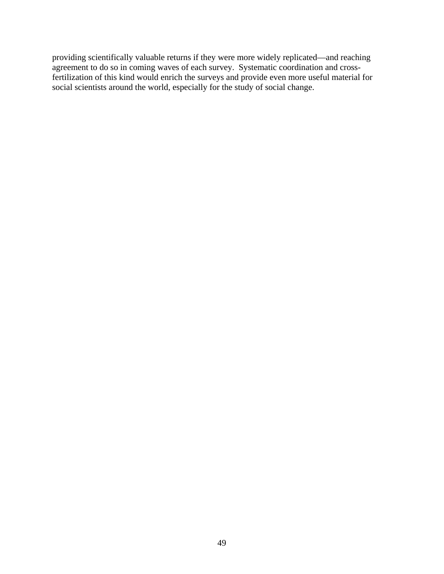providing scientifically valuable returns if they were more widely replicated—and reaching agreement to do so in coming waves of each survey. Systematic coordination and crossfertilization of this kind would enrich the surveys and provide even more useful material for social scientists around the world, especially for the study of social change.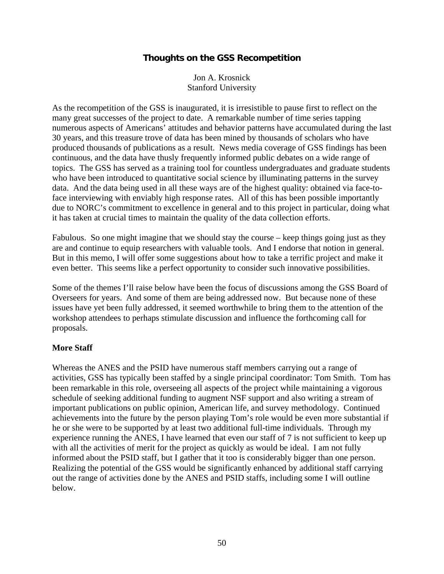# **Thoughts on the GSS Recompetition**

Jon A. Krosnick Stanford University

As the recompetition of the GSS is inaugurated, it is irresistible to pause first to reflect on the many great successes of the project to date. A remarkable number of time series tapping numerous aspects of Americans' attitudes and behavior patterns have accumulated during the last 30 years, and this treasure trove of data has been mined by thousands of scholars who have produced thousands of publications as a result. News media coverage of GSS findings has been continuous, and the data have thusly frequently informed public debates on a wide range of topics. The GSS has served as a training tool for countless undergraduates and graduate students who have been introduced to quantitative social science by illuminating patterns in the survey data. And the data being used in all these ways are of the highest quality: obtained via face-toface interviewing with enviably high response rates. All of this has been possible importantly due to NORC's commitment to excellence in general and to this project in particular, doing what it has taken at crucial times to maintain the quality of the data collection efforts.

Fabulous. So one might imagine that we should stay the course – keep things going just as they are and continue to equip researchers with valuable tools. And I endorse that notion in general. But in this memo, I will offer some suggestions about how to take a terrific project and make it even better. This seems like a perfect opportunity to consider such innovative possibilities.

Some of the themes I'll raise below have been the focus of discussions among the GSS Board of Overseers for years. And some of them are being addressed now. But because none of these issues have yet been fully addressed, it seemed worthwhile to bring them to the attention of the workshop attendees to perhaps stimulate discussion and influence the forthcoming call for proposals.

#### **More Staff**

Whereas the ANES and the PSID have numerous staff members carrying out a range of activities, GSS has typically been staffed by a single principal coordinator: Tom Smith. Tom has been remarkable in this role, overseeing all aspects of the project while maintaining a vigorous schedule of seeking additional funding to augment NSF support and also writing a stream of important publications on public opinion, American life, and survey methodology. Continued achievements into the future by the person playing Tom's role would be even more substantial if he or she were to be supported by at least two additional full-time individuals. Through my experience running the ANES, I have learned that even our staff of 7 is not sufficient to keep up with all the activities of merit for the project as quickly as would be ideal. I am not fully informed about the PSID staff, but I gather that it too is considerably bigger than one person. Realizing the potential of the GSS would be significantly enhanced by additional staff carrying out the range of activities done by the ANES and PSID staffs, including some I will outline below.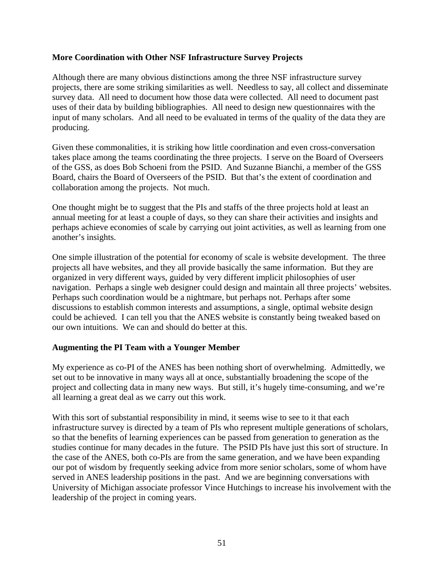### **More Coordination with Other NSF Infrastructure Survey Projects**

Although there are many obvious distinctions among the three NSF infrastructure survey projects, there are some striking similarities as well. Needless to say, all collect and disseminate survey data. All need to document how those data were collected. All need to document past uses of their data by building bibliographies. All need to design new questionnaires with the input of many scholars. And all need to be evaluated in terms of the quality of the data they are producing.

Given these commonalities, it is striking how little coordination and even cross-conversation takes place among the teams coordinating the three projects. I serve on the Board of Overseers of the GSS, as does Bob Schoeni from the PSID. And Suzanne Bianchi, a member of the GSS Board, chairs the Board of Overseers of the PSID. But that's the extent of coordination and collaboration among the projects. Not much.

One thought might be to suggest that the PIs and staffs of the three projects hold at least an annual meeting for at least a couple of days, so they can share their activities and insights and perhaps achieve economies of scale by carrying out joint activities, as well as learning from one another's insights.

One simple illustration of the potential for economy of scale is website development. The three projects all have websites, and they all provide basically the same information. But they are organized in very different ways, guided by very different implicit philosophies of user navigation. Perhaps a single web designer could design and maintain all three projects' websites. Perhaps such coordination would be a nightmare, but perhaps not. Perhaps after some discussions to establish common interests and assumptions, a single, optimal website design could be achieved. I can tell you that the ANES website is constantly being tweaked based on our own intuitions. We can and should do better at this.

#### **Augmenting the PI Team with a Younger Member**

My experience as co-PI of the ANES has been nothing short of overwhelming. Admittedly, we set out to be innovative in many ways all at once, substantially broadening the scope of the project and collecting data in many new ways. But still, it's hugely time-consuming, and we're all learning a great deal as we carry out this work.

With this sort of substantial responsibility in mind, it seems wise to see to it that each infrastructure survey is directed by a team of PIs who represent multiple generations of scholars, so that the benefits of learning experiences can be passed from generation to generation as the studies continue for many decades in the future. The PSID PIs have just this sort of structure. In the case of the ANES, both co-PIs are from the same generation, and we have been expanding our pot of wisdom by frequently seeking advice from more senior scholars, some of whom have served in ANES leadership positions in the past. And we are beginning conversations with University of Michigan associate professor Vince Hutchings to increase his involvement with the leadership of the project in coming years.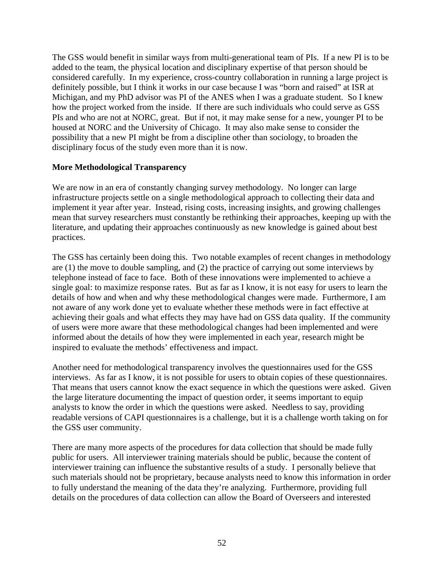The GSS would benefit in similar ways from multi-generational team of PIs. If a new PI is to be added to the team, the physical location and disciplinary expertise of that person should be considered carefully. In my experience, cross-country collaboration in running a large project is definitely possible, but I think it works in our case because I was "born and raised" at ISR at Michigan, and my PhD advisor was PI of the ANES when I was a graduate student. So I knew how the project worked from the inside. If there are such individuals who could serve as GSS PIs and who are not at NORC, great. But if not, it may make sense for a new, younger PI to be housed at NORC and the University of Chicago. It may also make sense to consider the possibility that a new PI might be from a discipline other than sociology, to broaden the disciplinary focus of the study even more than it is now.

### **More Methodological Transparency**

We are now in an era of constantly changing survey methodology. No longer can large infrastructure projects settle on a single methodological approach to collecting their data and implement it year after year. Instead, rising costs, increasing insights, and growing challenges mean that survey researchers must constantly be rethinking their approaches, keeping up with the literature, and updating their approaches continuously as new knowledge is gained about best practices.

The GSS has certainly been doing this. Two notable examples of recent changes in methodology are (1) the move to double sampling, and (2) the practice of carrying out some interviews by telephone instead of face to face. Both of these innovations were implemented to achieve a single goal: to maximize response rates. But as far as I know, it is not easy for users to learn the details of how and when and why these methodological changes were made. Furthermore, I am not aware of any work done yet to evaluate whether these methods were in fact effective at achieving their goals and what effects they may have had on GSS data quality. If the community of users were more aware that these methodological changes had been implemented and were informed about the details of how they were implemented in each year, research might be inspired to evaluate the methods' effectiveness and impact.

Another need for methodological transparency involves the questionnaires used for the GSS interviews. As far as I know, it is not possible for users to obtain copies of these questionnaires. That means that users cannot know the exact sequence in which the questions were asked. Given the large literature documenting the impact of question order, it seems important to equip analysts to know the order in which the questions were asked. Needless to say, providing readable versions of CAPI questionnaires is a challenge, but it is a challenge worth taking on for the GSS user community.

There are many more aspects of the procedures for data collection that should be made fully public for users. All interviewer training materials should be public, because the content of interviewer training can influence the substantive results of a study. I personally believe that such materials should not be proprietary, because analysts need to know this information in order to fully understand the meaning of the data they're analyzing. Furthermore, providing full details on the procedures of data collection can allow the Board of Overseers and interested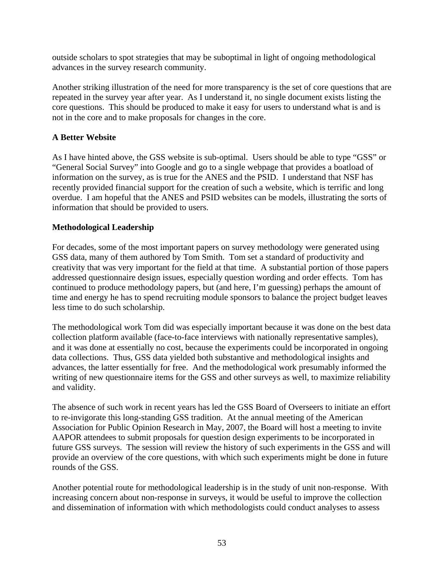outside scholars to spot strategies that may be suboptimal in light of ongoing methodological advances in the survey research community.

Another striking illustration of the need for more transparency is the set of core questions that are repeated in the survey year after year. As I understand it, no single document exists listing the core questions. This should be produced to make it easy for users to understand what is and is not in the core and to make proposals for changes in the core.

# **A Better Website**

As I have hinted above, the GSS website is sub-optimal. Users should be able to type "GSS" or "General Social Survey" into Google and go to a single webpage that provides a boatload of information on the survey, as is true for the ANES and the PSID. I understand that NSF has recently provided financial support for the creation of such a website, which is terrific and long overdue. I am hopeful that the ANES and PSID websites can be models, illustrating the sorts of information that should be provided to users.

# **Methodological Leadership**

For decades, some of the most important papers on survey methodology were generated using GSS data, many of them authored by Tom Smith. Tom set a standard of productivity and creativity that was very important for the field at that time. A substantial portion of those papers addressed questionnaire design issues, especially question wording and order effects. Tom has continued to produce methodology papers, but (and here, I'm guessing) perhaps the amount of time and energy he has to spend recruiting module sponsors to balance the project budget leaves less time to do such scholarship.

The methodological work Tom did was especially important because it was done on the best data collection platform available (face-to-face interviews with nationally representative samples), and it was done at essentially no cost, because the experiments could be incorporated in ongoing data collections. Thus, GSS data yielded both substantive and methodological insights and advances, the latter essentially for free. And the methodological work presumably informed the writing of new questionnaire items for the GSS and other surveys as well, to maximize reliability and validity.

The absence of such work in recent years has led the GSS Board of Overseers to initiate an effort to re-invigorate this long-standing GSS tradition. At the annual meeting of the American Association for Public Opinion Research in May, 2007, the Board will host a meeting to invite AAPOR attendees to submit proposals for question design experiments to be incorporated in future GSS surveys. The session will review the history of such experiments in the GSS and will provide an overview of the core questions, with which such experiments might be done in future rounds of the GSS.

Another potential route for methodological leadership is in the study of unit non-response. With increasing concern about non-response in surveys, it would be useful to improve the collection and dissemination of information with which methodologists could conduct analyses to assess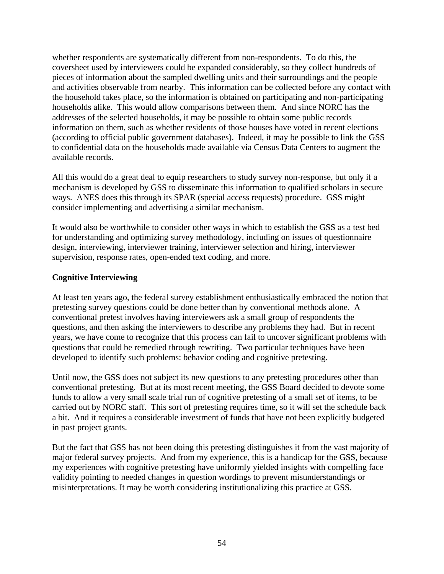whether respondents are systematically different from non-respondents. To do this, the coversheet used by interviewers could be expanded considerably, so they collect hundreds of pieces of information about the sampled dwelling units and their surroundings and the people and activities observable from nearby. This information can be collected before any contact with the household takes place, so the information is obtained on participating and non-participating households alike. This would allow comparisons between them. And since NORC has the addresses of the selected households, it may be possible to obtain some public records information on them, such as whether residents of those houses have voted in recent elections (according to official public government databases). Indeed, it may be possible to link the GSS to confidential data on the households made available via Census Data Centers to augment the available records.

All this would do a great deal to equip researchers to study survey non-response, but only if a mechanism is developed by GSS to disseminate this information to qualified scholars in secure ways. ANES does this through its SPAR (special access requests) procedure. GSS might consider implementing and advertising a similar mechanism.

It would also be worthwhile to consider other ways in which to establish the GSS as a test bed for understanding and optimizing survey methodology, including on issues of questionnaire design, interviewing, interviewer training, interviewer selection and hiring, interviewer supervision, response rates, open-ended text coding, and more.

# **Cognitive Interviewing**

At least ten years ago, the federal survey establishment enthusiastically embraced the notion that pretesting survey questions could be done better than by conventional methods alone. A conventional pretest involves having interviewers ask a small group of respondents the questions, and then asking the interviewers to describe any problems they had. But in recent years, we have come to recognize that this process can fail to uncover significant problems with questions that could be remedied through rewriting. Two particular techniques have been developed to identify such problems: behavior coding and cognitive pretesting.

Until now, the GSS does not subject its new questions to any pretesting procedures other than conventional pretesting. But at its most recent meeting, the GSS Board decided to devote some funds to allow a very small scale trial run of cognitive pretesting of a small set of items, to be carried out by NORC staff. This sort of pretesting requires time, so it will set the schedule back a bit. And it requires a considerable investment of funds that have not been explicitly budgeted in past project grants.

But the fact that GSS has not been doing this pretesting distinguishes it from the vast majority of major federal survey projects. And from my experience, this is a handicap for the GSS, because my experiences with cognitive pretesting have uniformly yielded insights with compelling face validity pointing to needed changes in question wordings to prevent misunderstandings or misinterpretations. It may be worth considering institutionalizing this practice at GSS.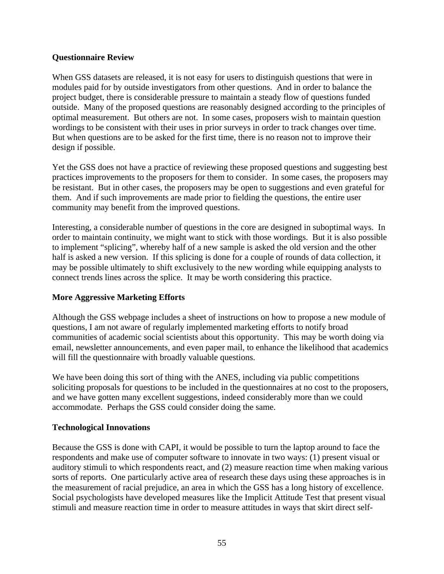### **Questionnaire Review**

When GSS datasets are released, it is not easy for users to distinguish questions that were in modules paid for by outside investigators from other questions. And in order to balance the project budget, there is considerable pressure to maintain a steady flow of questions funded outside. Many of the proposed questions are reasonably designed according to the principles of optimal measurement. But others are not. In some cases, proposers wish to maintain question wordings to be consistent with their uses in prior surveys in order to track changes over time. But when questions are to be asked for the first time, there is no reason not to improve their design if possible.

Yet the GSS does not have a practice of reviewing these proposed questions and suggesting best practices improvements to the proposers for them to consider. In some cases, the proposers may be resistant. But in other cases, the proposers may be open to suggestions and even grateful for them. And if such improvements are made prior to fielding the questions, the entire user community may benefit from the improved questions.

Interesting, a considerable number of questions in the core are designed in suboptimal ways. In order to maintain continuity, we might want to stick with those wordings. But it is also possible to implement "splicing", whereby half of a new sample is asked the old version and the other half is asked a new version. If this splicing is done for a couple of rounds of data collection, it may be possible ultimately to shift exclusively to the new wording while equipping analysts to connect trends lines across the splice. It may be worth considering this practice.

# **More Aggressive Marketing Efforts**

Although the GSS webpage includes a sheet of instructions on how to propose a new module of questions, I am not aware of regularly implemented marketing efforts to notify broad communities of academic social scientists about this opportunity. This may be worth doing via email, newsletter announcements, and even paper mail, to enhance the likelihood that academics will fill the questionnaire with broadly valuable questions.

We have been doing this sort of thing with the ANES, including via public competitions soliciting proposals for questions to be included in the questionnaires at no cost to the proposers, and we have gotten many excellent suggestions, indeed considerably more than we could accommodate. Perhaps the GSS could consider doing the same.

# **Technological Innovations**

Because the GSS is done with CAPI, it would be possible to turn the laptop around to face the respondents and make use of computer software to innovate in two ways: (1) present visual or auditory stimuli to which respondents react, and (2) measure reaction time when making various sorts of reports. One particularly active area of research these days using these approaches is in the measurement of racial prejudice, an area in which the GSS has a long history of excellence. Social psychologists have developed measures like the Implicit Attitude Test that present visual stimuli and measure reaction time in order to measure attitudes in ways that skirt direct self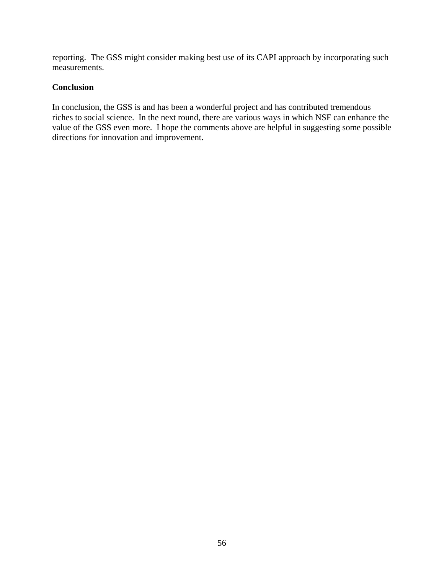reporting. The GSS might consider making best use of its CAPI approach by incorporating such measurements.

### **Conclusion**

In conclusion, the GSS is and has been a wonderful project and has contributed tremendous riches to social science. In the next round, there are various ways in which NSF can enhance the value of the GSS even more. I hope the comments above are helpful in suggesting some possible directions for innovation and improvement.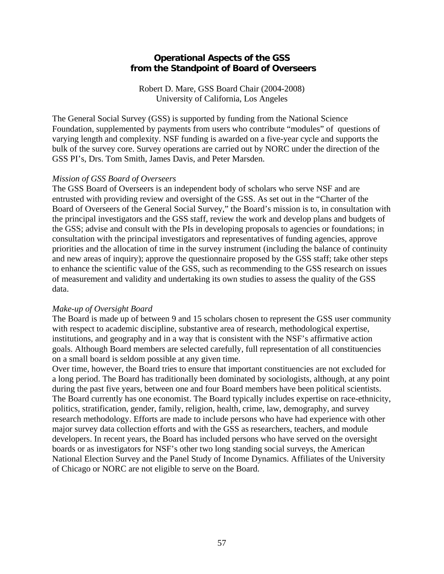### **Operational Aspects of the GSS from the Standpoint of Board of Overseers**

Robert D. Mare, GSS Board Chair (2004-2008) University of California, Los Angeles

The General Social Survey (GSS) is supported by funding from the National Science Foundation, supplemented by payments from users who contribute "modules" of questions of varying length and complexity. NSF funding is awarded on a five-year cycle and supports the bulk of the survey core. Survey operations are carried out by NORC under the direction of the GSS PI's, Drs. Tom Smith, James Davis, and Peter Marsden.

#### *Mission of GSS Board of Overseers*

The GSS Board of Overseers is an independent body of scholars who serve NSF and are entrusted with providing review and oversight of the GSS. As set out in the "Charter of the Board of Overseers of the General Social Survey," the Board's mission is to, in consultation with the principal investigators and the GSS staff, review the work and develop plans and budgets of the GSS; advise and consult with the PIs in developing proposals to agencies or foundations; in consultation with the principal investigators and representatives of funding agencies, approve priorities and the allocation of time in the survey instrument (including the balance of continuity and new areas of inquiry); approve the questionnaire proposed by the GSS staff; take other steps to enhance the scientific value of the GSS, such as recommending to the GSS research on issues of measurement and validity and undertaking its own studies to assess the quality of the GSS data.

#### *Make-up of Oversight Board*

The Board is made up of between 9 and 15 scholars chosen to represent the GSS user community with respect to academic discipline, substantive area of research, methodological expertise, institutions, and geography and in a way that is consistent with the NSF's affirmative action goals. Although Board members are selected carefully, full representation of all constituencies on a small board is seldom possible at any given time.

Over time, however, the Board tries to ensure that important constituencies are not excluded for a long period. The Board has traditionally been dominated by sociologists, although, at any point during the past five years, between one and four Board members have been political scientists. The Board currently has one economist. The Board typically includes expertise on race-ethnicity, politics, stratification, gender, family, religion, health, crime, law, demography, and survey research methodology. Efforts are made to include persons who have had experience with other major survey data collection efforts and with the GSS as researchers, teachers, and module developers. In recent years, the Board has included persons who have served on the oversight boards or as investigators for NSF's other two long standing social surveys, the American National Election Survey and the Panel Study of Income Dynamics. Affiliates of the University of Chicago or NORC are not eligible to serve on the Board.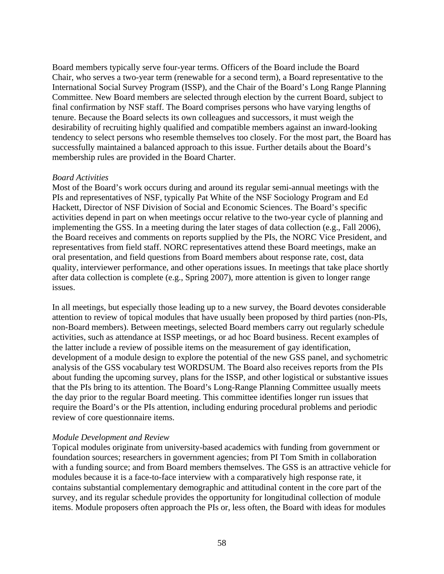Board members typically serve four-year terms. Officers of the Board include the Board Chair, who serves a two-year term (renewable for a second term), a Board representative to the International Social Survey Program (ISSP), and the Chair of the Board's Long Range Planning Committee. New Board members are selected through election by the current Board, subject to final confirmation by NSF staff. The Board comprises persons who have varying lengths of tenure. Because the Board selects its own colleagues and successors, it must weigh the desirability of recruiting highly qualified and compatible members against an inward-looking tendency to select persons who resemble themselves too closely. For the most part, the Board has successfully maintained a balanced approach to this issue. Further details about the Board's membership rules are provided in the Board Charter.

### *Board Activities*

Most of the Board's work occurs during and around its regular semi-annual meetings with the PIs and representatives of NSF, typically Pat White of the NSF Sociology Program and Ed Hackett, Director of NSF Division of Social and Economic Sciences. The Board's specific activities depend in part on when meetings occur relative to the two-year cycle of planning and implementing the GSS. In a meeting during the later stages of data collection (e.g., Fall 2006), the Board receives and comments on reports supplied by the PIs, the NORC Vice President, and representatives from field staff. NORC representatives attend these Board meetings, make an oral presentation, and field questions from Board members about response rate, cost, data quality, interviewer performance, and other operations issues. In meetings that take place shortly after data collection is complete (e.g., Spring 2007), more attention is given to longer range issues.

In all meetings, but especially those leading up to a new survey, the Board devotes considerable attention to review of topical modules that have usually been proposed by third parties (non-PIs, non-Board members). Between meetings, selected Board members carry out regularly schedule activities, such as attendance at ISSP meetings, or ad hoc Board business. Recent examples of the latter include a review of possible items on the measurement of gay identification, development of a module design to explore the potential of the new GSS panel, and sychometric analysis of the GSS vocabulary test WORDSUM. The Board also receives reports from the PIs about funding the upcoming survey, plans for the ISSP, and other logistical or substantive issues that the PIs bring to its attention. The Board's Long-Range Planning Committee usually meets the day prior to the regular Board meeting. This committee identifies longer run issues that require the Board's or the PIs attention, including enduring procedural problems and periodic review of core questionnaire items.

# *Module Development and Review*

Topical modules originate from university-based academics with funding from government or foundation sources; researchers in government agencies; from PI Tom Smith in collaboration with a funding source; and from Board members themselves. The GSS is an attractive vehicle for modules because it is a face-to-face interview with a comparatively high response rate, it contains substantial complementary demographic and attitudinal content in the core part of the survey, and its regular schedule provides the opportunity for longitudinal collection of module items. Module proposers often approach the PIs or, less often, the Board with ideas for modules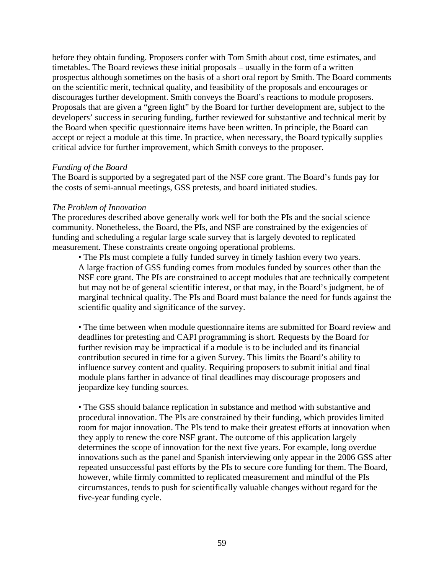before they obtain funding. Proposers confer with Tom Smith about cost, time estimates, and timetables. The Board reviews these initial proposals – usually in the form of a written prospectus although sometimes on the basis of a short oral report by Smith. The Board comments on the scientific merit, technical quality, and feasibility of the proposals and encourages or discourages further development. Smith conveys the Board's reactions to module proposers. Proposals that are given a "green light" by the Board for further development are, subject to the developers' success in securing funding, further reviewed for substantive and technical merit by the Board when specific questionnaire items have been written. In principle, the Board can accept or reject a module at this time. In practice, when necessary, the Board typically supplies critical advice for further improvement, which Smith conveys to the proposer.

#### *Funding of the Board*

The Board is supported by a segregated part of the NSF core grant. The Board's funds pay for the costs of semi-annual meetings, GSS pretests, and board initiated studies.

#### *The Problem of Innovation*

The procedures described above generally work well for both the PIs and the social science community. Nonetheless, the Board, the PIs, and NSF are constrained by the exigencies of funding and scheduling a regular large scale survey that is largely devoted to replicated measurement. These constraints create ongoing operational problems.

• The PIs must complete a fully funded survey in timely fashion every two years. A large fraction of GSS funding comes from modules funded by sources other than the NSF core grant. The PIs are constrained to accept modules that are technically competent but may not be of general scientific interest, or that may, in the Board's judgment, be of marginal technical quality. The PIs and Board must balance the need for funds against the scientific quality and significance of the survey.

• The time between when module questionnaire items are submitted for Board review and deadlines for pretesting and CAPI programming is short. Requests by the Board for further revision may be impractical if a module is to be included and its financial contribution secured in time for a given Survey. This limits the Board's ability to influence survey content and quality. Requiring proposers to submit initial and final module plans farther in advance of final deadlines may discourage proposers and jeopardize key funding sources.

• The GSS should balance replication in substance and method with substantive and procedural innovation. The PIs are constrained by their funding, which provides limited room for major innovation. The PIs tend to make their greatest efforts at innovation when they apply to renew the core NSF grant. The outcome of this application largely determines the scope of innovation for the next five years. For example, long overdue innovations such as the panel and Spanish interviewing only appear in the 2006 GSS after repeated unsuccessful past efforts by the PIs to secure core funding for them. The Board, however, while firmly committed to replicated measurement and mindful of the PIs circumstances, tends to push for scientifically valuable changes without regard for the five-year funding cycle.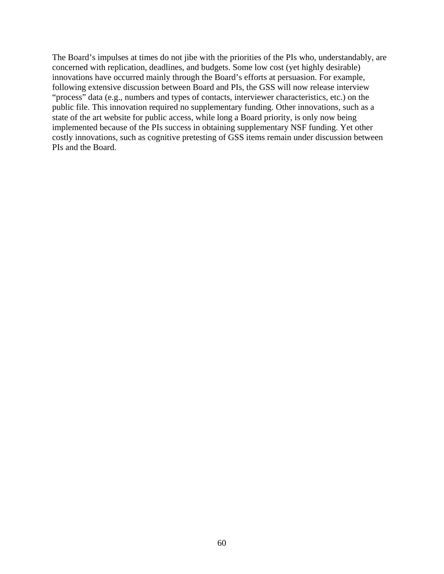The Board's impulses at times do not jibe with the priorities of the PIs who, understandably, are concerned with replication, deadlines, and budgets. Some low cost (yet highly desirable) innovations have occurred mainly through the Board's efforts at persuasion. For example, following extensive discussion between Board and PIs, the GSS will now release interview "process" data (e.g., numbers and types of contacts, interviewer characteristics, etc.) on the public file. This innovation required no supplementary funding. Other innovations, such as a state of the art website for public access, while long a Board priority, is only now being implemented because of the PIs success in obtaining supplementary NSF funding. Yet other costly innovations, such as cognitive pretesting of GSS items remain under discussion between PIs and the Board.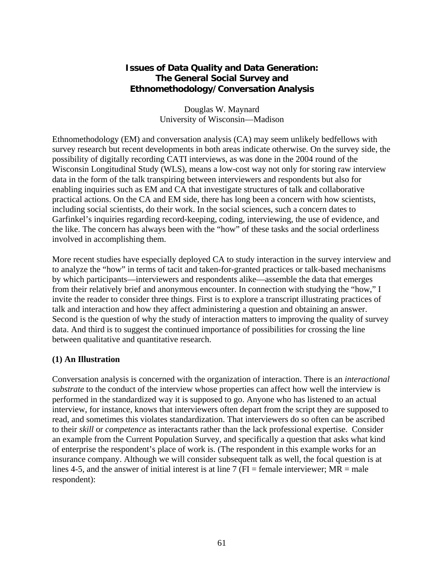# **Issues of Data Quality and Data Generation: The General Social Survey and Ethnomethodology/Conversation Analysis**

Douglas W. Maynard University of Wisconsin—Madison

Ethnomethodology (EM) and conversation analysis (CA) may seem unlikely bedfellows with survey research but recent developments in both areas indicate otherwise. On the survey side, the possibility of digitally recording CATI interviews, as was done in the 2004 round of the Wisconsin Longitudinal Study (WLS), means a low-cost way not only for storing raw interview data in the form of the talk transpiring between interviewers and respondents but also for enabling inquiries such as EM and CA that investigate structures of talk and collaborative practical actions. On the CA and EM side, there has long been a concern with how scientists, including social scientists, do their work. In the social sciences, such a concern dates to Garfinkel's inquiries regarding record-keeping, coding, interviewing, the use of evidence, and the like. The concern has always been with the "how" of these tasks and the social orderliness involved in accomplishing them.

More recent studies have especially deployed CA to study interaction in the survey interview and to analyze the "how" in terms of tacit and taken-for-granted practices or talk-based mechanisms by which participants—interviewers and respondents alike—assemble the data that emerges from their relatively brief and anonymous encounter. In connection with studying the "how," I invite the reader to consider three things. First is to explore a transcript illustrating practices of talk and interaction and how they affect administering a question and obtaining an answer. Second is the question of why the study of interaction matters to improving the quality of survey data. And third is to suggest the continued importance of possibilities for crossing the line between qualitative and quantitative research.

# **(1) An Illustration**

Conversation analysis is concerned with the organization of interaction. There is an *interactional substrate* to the conduct of the interview whose properties can affect how well the interview is performed in the standardized way it is supposed to go. Anyone who has listened to an actual interview, for instance, knows that interviewers often depart from the script they are supposed to read, and sometimes this violates standardization. That interviewers do so often can be ascribed to their *skill* or *competence* as interactants rather than the lack professional expertise. Consider an example from the Current Population Survey, and specifically a question that asks what kind of enterprise the respondent's place of work is. (The respondent in this example works for an insurance company. Although we will consider subsequent talk as well, the focal question is at lines 4-5, and the answer of initial interest is at line 7 ( $FI = female$  interviewer;  $MR = male$ respondent):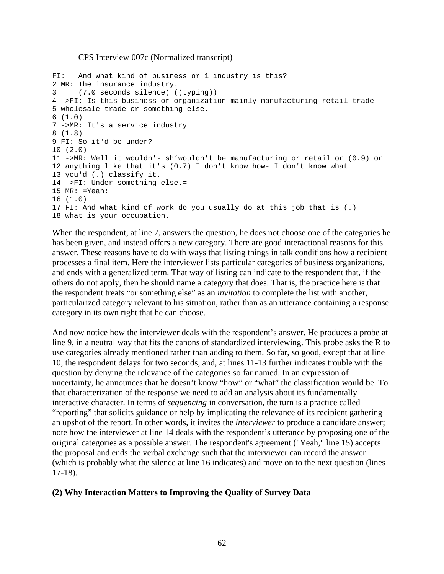#### CPS Interview 007c (Normalized transcript)

```
FI: And what kind of business or 1 industry is this? 
2 MR: The insurance industry. 
3 (7.0 seconds silence) ((typing)) 
4 ->FI: Is this business or organization mainly manufacturing retail trade 
5 wholesale trade or something else. 
6 (1.0) 
7 ->MR: It's a service industry 
8 (1.8) 
9 FI: So it'd be under? 
10 (2.0) 
11 ->MR: Well it wouldn'- sh'wouldn't be manufacturing or retail or (0.9) or 
12 anything like that it's (0.7) I don't know how- I don't know what 
13 you'd (.) classify it. 
14 ->FI: Under something else.= 
15 MR: =Yeah: 
16 (1.0) 
17 FI: And what kind of work do you usually do at this job that is (.) 
18 what is your occupation.
```
When the respondent, at line 7, answers the question, he does not choose one of the categories he has been given, and instead offers a new category. There are good interactional reasons for this answer. These reasons have to do with ways that listing things in talk conditions how a recipient processes a final item. Here the interviewer lists particular categories of business organizations, and ends with a generalized term. That way of listing can indicate to the respondent that, if the others do not apply, then he should name a category that does. That is, the practice here is that the respondent treats "or something else" as an *invitation* to complete the list with another, particularized category relevant to his situation, rather than as an utterance containing a response category in its own right that he can choose.

And now notice how the interviewer deals with the respondent's answer. He produces a probe at line 9, in a neutral way that fits the canons of standardized interviewing. This probe asks the R to use categories already mentioned rather than adding to them. So far, so good, except that at line 10, the respondent delays for two seconds, and, at lines 11-13 further indicates trouble with the question by denying the relevance of the categories so far named. In an expression of uncertainty, he announces that he doesn't know "how" or "what" the classification would be. To that characterization of the response we need to add an analysis about its fundamentally interactive character. In terms of *sequencing* in conversation, the turn is a practice called "reporting" that solicits guidance or help by implicating the relevance of its recipient gathering an upshot of the report. In other words, it invites the *interviewer* to produce a candidate answer; note how the interviewer at line 14 deals with the respondent's utterance by proposing one of the original categories as a possible answer. The respondent's agreement ("Yeah," line 15) accepts the proposal and ends the verbal exchange such that the interviewer can record the answer (which is probably what the silence at line 16 indicates) and move on to the next question (lines 17-18).

# **(2) Why Interaction Matters to Improving the Quality of Survey Data**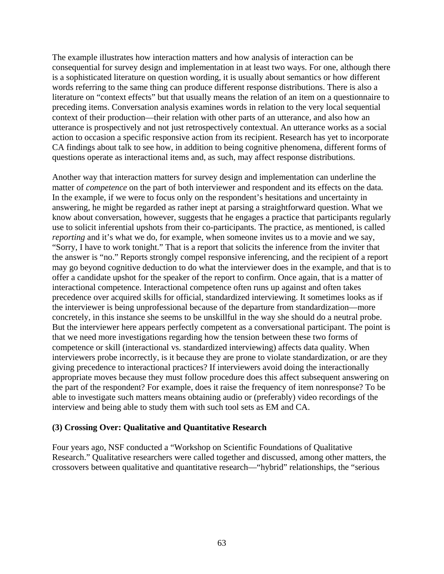The example illustrates how interaction matters and how analysis of interaction can be consequential for survey design and implementation in at least two ways. For one, although there is a sophisticated literature on question wording, it is usually about semantics or how different words referring to the same thing can produce different response distributions. There is also a literature on "context effects" but that usually means the relation of an item on a questionnaire to preceding items. Conversation analysis examines words in relation to the very local sequential context of their production—their relation with other parts of an utterance, and also how an utterance is prospectively and not just retrospectively contextual. An utterance works as a social action to occasion a specific responsive action from its recipient. Research has yet to incorporate CA findings about talk to see how, in addition to being cognitive phenomena, different forms of questions operate as interactional items and, as such, may affect response distributions.

Another way that interaction matters for survey design and implementation can underline the matter of *competence* on the part of both interviewer and respondent and its effects on the data*.*  In the example, if we were to focus only on the respondent's hesitations and uncertainty in answering, he might be regarded as rather inept at parsing a straightforward question. What we know about conversation, however, suggests that he engages a practice that participants regularly use to solicit inferential upshots from their co-participants. The practice, as mentioned, is called *reporting* and it's what we do, for example, when someone invites us to a movie and we say, "Sorry, I have to work tonight." That is a report that solicits the inference from the inviter that the answer is "no." Reports strongly compel responsive inferencing, and the recipient of a report may go beyond cognitive deduction to do what the interviewer does in the example, and that is to offer a candidate upshot for the speaker of the report to confirm. Once again, that is a matter of interactional competence. Interactional competence often runs up against and often takes precedence over acquired skills for official, standardized interviewing. It sometimes looks as if the interviewer is being unprofessional because of the departure from standardization—more concretely, in this instance she seems to be unskillful in the way she should do a neutral probe. But the interviewer here appears perfectly competent as a conversational participant. The point is that we need more investigations regarding how the tension between these two forms of competence or skill (interactional vs. standardized interviewing) affects data quality. When interviewers probe incorrectly, is it because they are prone to violate standardization, or are they giving precedence to interactional practices? If interviewers avoid doing the interactionally appropriate moves because they must follow procedure does this affect subsequent answering on the part of the respondent? For example, does it raise the frequency of item nonresponse? To be able to investigate such matters means obtaining audio or (preferably) video recordings of the interview and being able to study them with such tool sets as EM and CA.

#### **(3) Crossing Over: Qualitative and Quantitative Research**

Four years ago, NSF conducted a "Workshop on Scientific Foundations of Qualitative Research." Qualitative researchers were called together and discussed, among other matters, the crossovers between qualitative and quantitative research—"hybrid" relationships, the "serious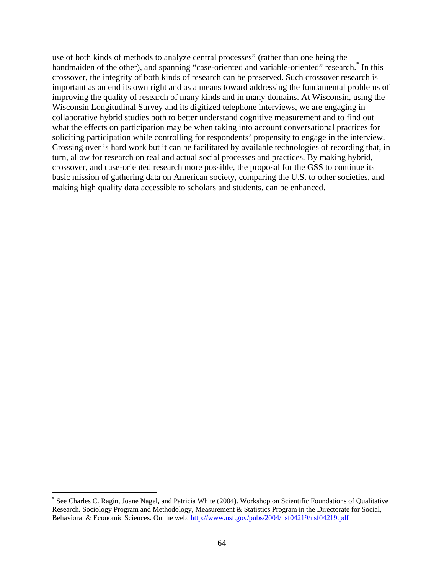use of both kinds of methods to analyze central processes" (rather than one being the handmaiden of the other), and spanning "case-oriented and variable-oriented" research.<sup>\*</sup> In this crossover, the integrity of both kinds of research can be preserved. Such crossover research is important as an end its own right and as a means toward addressing the fundamental problems of improving the quality of research of many kinds and in many domains. At Wisconsin, using the Wisconsin Longitudinal Survey and its digitized telephone interviews, we are engaging in collaborative hybrid studies both to better understand cognitive measurement and to find out what the effects on participation may be when taking into account conversational practices for soliciting participation while controlling for respondents' propensity to engage in the interview. Crossing over is hard work but it can be facilitated by available technologies of recording that, in turn, allow for research on real and actual social processes and practices. By making hybrid, crossover, and case-oriented research more possible, the proposal for the GSS to continue its basic mission of gathering data on American society, comparing the U.S. to other societies, and making high quality data accessible to scholars and students, can be enhanced.

1

<sup>\*</sup> See Charles C. Ragin, Joane Nagel, and Patricia White (2004). Workshop on Scientific Foundations of Qualitative Research*.* Sociology Program and Methodology, Measurement & Statistics Program in the Directorate for Social, Behavioral & Economic Sciences. On the web:<http://www.nsf.gov/pubs/2004/nsf04219/nsf04219.pdf>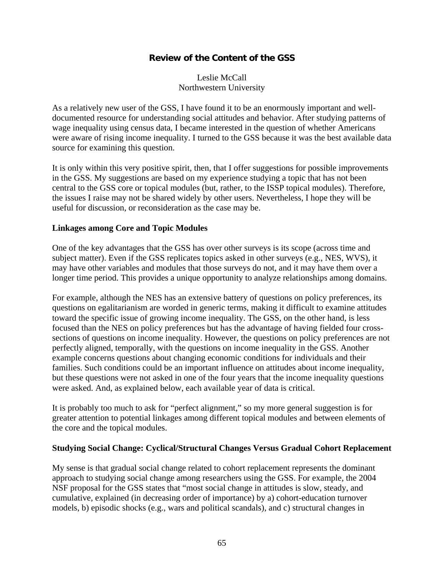# **Review of the Content of the GSS**

Leslie McCall Northwestern University

As a relatively new user of the GSS, I have found it to be an enormously important and welldocumented resource for understanding social attitudes and behavior. After studying patterns of wage inequality using census data, I became interested in the question of whether Americans were aware of rising income inequality. I turned to the GSS because it was the best available data source for examining this question.

It is only within this very positive spirit, then, that I offer suggestions for possible improvements in the GSS. My suggestions are based on my experience studying a topic that has not been central to the GSS core or topical modules (but, rather, to the ISSP topical modules). Therefore, the issues I raise may not be shared widely by other users. Nevertheless, I hope they will be useful for discussion, or reconsideration as the case may be.

### **Linkages among Core and Topic Modules**

One of the key advantages that the GSS has over other surveys is its scope (across time and subject matter). Even if the GSS replicates topics asked in other surveys (e.g., NES, WVS), it may have other variables and modules that those surveys do not, and it may have them over a longer time period. This provides a unique opportunity to analyze relationships among domains.

For example, although the NES has an extensive battery of questions on policy preferences, its questions on egalitarianism are worded in generic terms, making it difficult to examine attitudes toward the specific issue of growing income inequality. The GSS, on the other hand, is less focused than the NES on policy preferences but has the advantage of having fielded four crosssections of questions on income inequality. However, the questions on policy preferences are not perfectly aligned, temporally, with the questions on income inequality in the GSS. Another example concerns questions about changing economic conditions for individuals and their families. Such conditions could be an important influence on attitudes about income inequality, but these questions were not asked in one of the four years that the income inequality questions were asked. And, as explained below, each available year of data is critical.

It is probably too much to ask for "perfect alignment," so my more general suggestion is for greater attention to potential linkages among different topical modules and between elements of the core and the topical modules.

#### **Studying Social Change: Cyclical/Structural Changes Versus Gradual Cohort Replacement**

My sense is that gradual social change related to cohort replacement represents the dominant approach to studying social change among researchers using the GSS. For example, the 2004 NSF proposal for the GSS states that "most social change in attitudes is slow, steady, and cumulative, explained (in decreasing order of importance) by a) cohort-education turnover models, b) episodic shocks (e.g., wars and political scandals), and c) structural changes in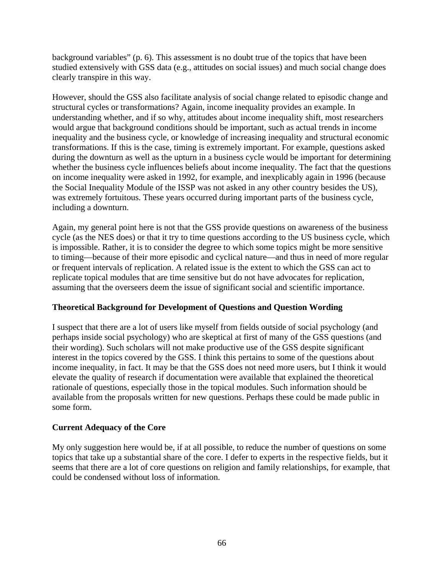background variables" (p. 6). This assessment is no doubt true of the topics that have been studied extensively with GSS data (e.g., attitudes on social issues) and much social change does clearly transpire in this way.

However, should the GSS also facilitate analysis of social change related to episodic change and structural cycles or transformations? Again, income inequality provides an example. In understanding whether, and if so why, attitudes about income inequality shift, most researchers would argue that background conditions should be important, such as actual trends in income inequality and the business cycle, or knowledge of increasing inequality and structural economic transformations. If this is the case, timing is extremely important. For example, questions asked during the downturn as well as the upturn in a business cycle would be important for determining whether the business cycle influences beliefs about income inequality. The fact that the questions on income inequality were asked in 1992, for example, and inexplicably again in 1996 (because the Social Inequality Module of the ISSP was not asked in any other country besides the US), was extremely fortuitous. These years occurred during important parts of the business cycle, including a downturn.

Again, my general point here is not that the GSS provide questions on awareness of the business cycle (as the NES does) or that it try to time questions according to the US business cycle, which is impossible. Rather, it is to consider the degree to which some topics might be more sensitive to timing—because of their more episodic and cyclical nature—and thus in need of more regular or frequent intervals of replication. A related issue is the extent to which the GSS can act to replicate topical modules that are time sensitive but do not have advocates for replication, assuming that the overseers deem the issue of significant social and scientific importance.

# **Theoretical Background for Development of Questions and Question Wording**

I suspect that there are a lot of users like myself from fields outside of social psychology (and perhaps inside social psychology) who are skeptical at first of many of the GSS questions (and their wording). Such scholars will not make productive use of the GSS despite significant interest in the topics covered by the GSS. I think this pertains to some of the questions about income inequality, in fact. It may be that the GSS does not need more users, but I think it would elevate the quality of research if documentation were available that explained the theoretical rationale of questions, especially those in the topical modules. Such information should be available from the proposals written for new questions. Perhaps these could be made public in some form.

#### **Current Adequacy of the Core**

My only suggestion here would be, if at all possible, to reduce the number of questions on some topics that take up a substantial share of the core. I defer to experts in the respective fields, but it seems that there are a lot of core questions on religion and family relationships, for example, that could be condensed without loss of information.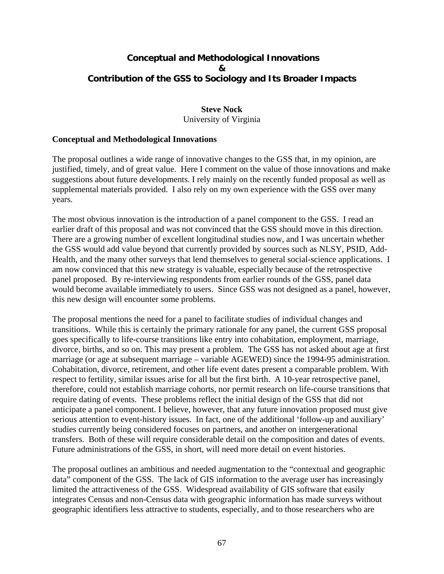# **Conceptual and Methodological Innovations & Contribution of the GSS to Sociology and Its Broader Impacts**

#### **Steve Nock**  University of Virginia

### **Conceptual and Methodological Innovations**

The proposal outlines a wide range of innovative changes to the GSS that, in my opinion, are justified, timely, and of great value. Here I comment on the value of those innovations and make suggestions about future developments. I rely mainly on the recently funded proposal as well as supplemental materials provided. I also rely on my own experience with the GSS over many years.

The most obvious innovation is the introduction of a panel component to the GSS. I read an earlier draft of this proposal and was not convinced that the GSS should move in this direction. There are a growing number of excellent longitudinal studies now, and I was uncertain whether the GSS would add value beyond that currently provided by sources such as NLSY, PSID, Add-Health, and the many other surveys that lend themselves to general social-science applications. I am now convinced that this new strategy is valuable, especially because of the retrospective panel proposed. By re-interviewing respondents from earlier rounds of the GSS, panel data would become available immediately to users. Since GSS was not designed as a panel, however, this new design will encounter some problems.

The proposal mentions the need for a panel to facilitate studies of individual changes and transitions. While this is certainly the primary rationale for any panel, the current GSS proposal goes specifically to life-course transitions like entry into cohabitation, employment, marriage, divorce, births, and so on. This may present a problem. The GSS has not asked about age at first marriage (or age at subsequent marriage – variable AGEWED) since the 1994-95 administration. Cohabitation, divorce, retirement, and other life event dates present a comparable problem. With respect to fertility, similar issues arise for all but the first birth. A 10-year retrospective panel, therefore, could not establish marriage cohorts, nor permit research on life-course transitions that require dating of events. These problems reflect the initial design of the GSS that did not anticipate a panel component. I believe, however, that any future innovation proposed must give serious attention to event-history issues. In fact, one of the additional 'follow-up and auxiliary' studies currently being considered focuses on partners, and another on intergenerational transfers. Both of these will require considerable detail on the composition and dates of events. Future administrations of the GSS, in short, will need more detail on event histories.

The proposal outlines an ambitious and needed augmentation to the "contextual and geographic data" component of the GSS. The lack of GIS information to the average user has increasingly limited the attractiveness of the GSS. Widespread availability of GIS software that easily integrates Census and non-Census data with geographic information has made surveys without geographic identifiers less attractive to students, especially, and to those researchers who are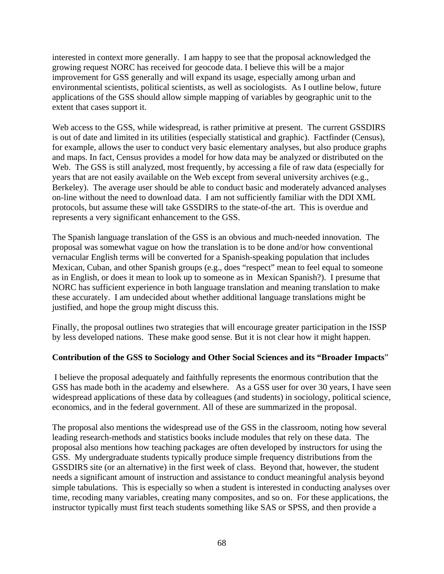interested in context more generally. I am happy to see that the proposal acknowledged the growing request NORC has received for geocode data. I believe this will be a major improvement for GSS generally and will expand its usage, especially among urban and environmental scientists, political scientists, as well as sociologists. As I outline below, future applications of the GSS should allow simple mapping of variables by geographic unit to the extent that cases support it.

Web access to the GSS, while widespread, is rather primitive at present. The current GSSDIRS is out of date and limited in its utilities (especially statistical and graphic). Factfinder (Census), for example, allows the user to conduct very basic elementary analyses, but also produce graphs and maps. In fact, Census provides a model for how data may be analyzed or distributed on the Web. The GSS is still analyzed, most frequently, by accessing a file of raw data (especially for years that are not easily available on the Web except from several university archives (e.g., Berkeley). The average user should be able to conduct basic and moderately advanced analyses on-line without the need to download data. I am not sufficiently familiar with the DDI XML protocols, but assume these will take GSSDIRS to the state-of-the art. This is overdue and represents a very significant enhancement to the GSS.

The Spanish language translation of the GSS is an obvious and much-needed innovation. The proposal was somewhat vague on how the translation is to be done and/or how conventional vernacular English terms will be converted for a Spanish-speaking population that includes Mexican, Cuban, and other Spanish groups (e.g., does "respect" mean to feel equal to someone as in English, or does it mean to look up to someone as in Mexican Spanish?). I presume that NORC has sufficient experience in both language translation and meaning translation to make these accurately. I am undecided about whether additional language translations might be justified, and hope the group might discuss this.

Finally, the proposal outlines two strategies that will encourage greater participation in the ISSP by less developed nations. These make good sense. But it is not clear how it might happen.

# **Contribution of the GSS to Sociology and Other Social Sciences and its "Broader Impacts**"

 I believe the proposal adequately and faithfully represents the enormous contribution that the GSS has made both in the academy and elsewhere. As a GSS user for over 30 years, I have seen widespread applications of these data by colleagues (and students) in sociology, political science, economics, and in the federal government. All of these are summarized in the proposal.

The proposal also mentions the widespread use of the GSS in the classroom, noting how several leading research-methods and statistics books include modules that rely on these data. The proposal also mentions how teaching packages are often developed by instructors for using the GSS. My undergraduate students typically produce simple frequency distributions from the GSSDIRS site (or an alternative) in the first week of class. Beyond that, however, the student needs a significant amount of instruction and assistance to conduct meaningful analysis beyond simple tabulations. This is especially so when a student is interested in conducting analyses over time, recoding many variables, creating many composites, and so on. For these applications, the instructor typically must first teach students something like SAS or SPSS, and then provide a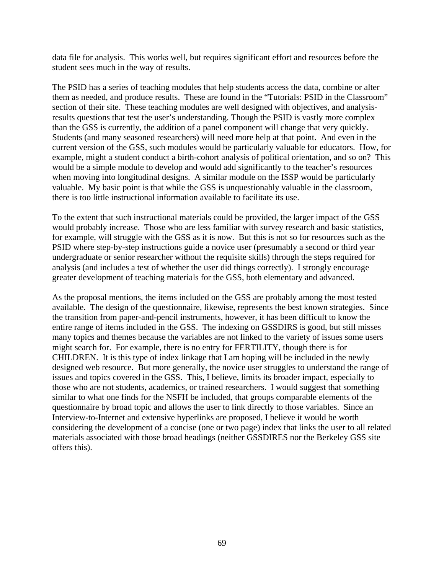data file for analysis. This works well, but requires significant effort and resources before the student sees much in the way of results.

The PSID has a series of teaching modules that help students access the data, combine or alter them as needed, and produce results. These are found in the "Tutorials: PSID in the Classroom" section of their site. These teaching modules are well designed with objectives, and analysisresults questions that test the user's understanding. Though the PSID is vastly more complex than the GSS is currently, the addition of a panel component will change that very quickly. Students (and many seasoned researchers) will need more help at that point. And even in the current version of the GSS, such modules would be particularly valuable for educators. How, for example, might a student conduct a birth-cohort analysis of political orientation, and so on? This would be a simple module to develop and would add significantly to the teacher's resources when moving into longitudinal designs. A similar module on the ISSP would be particularly valuable. My basic point is that while the GSS is unquestionably valuable in the classroom, there is too little instructional information available to facilitate its use.

To the extent that such instructional materials could be provided, the larger impact of the GSS would probably increase. Those who are less familiar with survey research and basic statistics, for example, will struggle with the GSS as it is now. But this is not so for resources such as the PSID where step-by-step instructions guide a novice user (presumably a second or third year undergraduate or senior researcher without the requisite skills) through the steps required for analysis (and includes a test of whether the user did things correctly). I strongly encourage greater development of teaching materials for the GSS, both elementary and advanced.

As the proposal mentions, the items included on the GSS are probably among the most tested available. The design of the questionnaire, likewise, represents the best known strategies. Since the transition from paper-and-pencil instruments, however, it has been difficult to know the entire range of items included in the GSS. The indexing on GSSDIRS is good, but still misses many topics and themes because the variables are not linked to the variety of issues some users might search for. For example, there is no entry for FERTILITY, though there is for CHILDREN. It is this type of index linkage that I am hoping will be included in the newly designed web resource. But more generally, the novice user struggles to understand the range of issues and topics covered in the GSS. This, I believe, limits its broader impact, especially to those who are not students, academics, or trained researchers. I would suggest that something similar to what one finds for the NSFH be included, that groups comparable elements of the questionnaire by broad topic and allows the user to link directly to those variables. Since an Interview-to-Internet and extensive hyperlinks are proposed, I believe it would be worth considering the development of a concise (one or two page) index that links the user to all related materials associated with those broad headings (neither GSSDIRES nor the Berkeley GSS site offers this).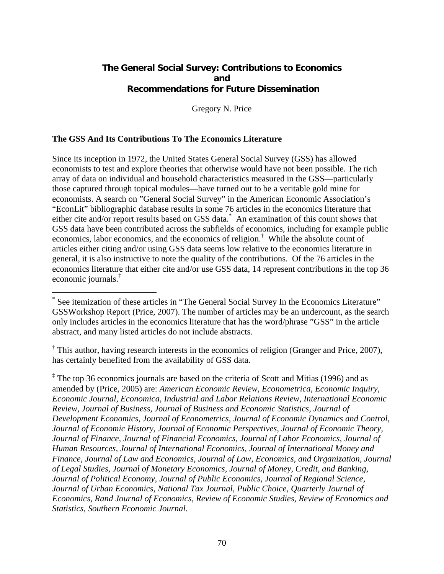# **The General Social Survey: Contributions to Economics and Recommendations for Future Dissemination**

Gregory N. Price

### **The GSS And Its Contributions To The Economics Literature**

1

Since its inception in 1972, the United States General Social Survey (GSS) has allowed economists to test and explore theories that otherwise would have not been possible. The rich array of data on individual and household characteristics measured in the GSS—particularly those captured through topical modules—have turned out to be a veritable gold mine for economists. A search on "General Social Survey" in the American Economic Association's "EconLit" bibliographic database results in some 76 articles in the economics literature that either cite and/or report results based on GSS data.<sup>\*</sup> An examination of this count shows that GSS data have been contributed across the subfields of economics, including for example public economics, labor economics, and the economics of religion.† While the absolute count of articles either citing and/or using GSS data seems low relative to the economics literature in general, it is also instructive to note the quality of the contributions. Of the 76 articles in the economics literature that either cite and/or use GSS data, 14 represent contributions in the top 36 economic journals.‡

<sup>\*</sup> See itemization of these articles in "The General Social Survey In the Economics Literature" GSSWorkshop Report (Price, 2007). The number of articles may be an undercount, as the search only includes articles in the economics literature that has the word/phrase "GSS" in the article abstract, and many listed articles do not include abstracts.

<sup>&</sup>lt;sup>†</sup> This author, having research interests in the economics of religion (Granger and Price, 2007), has certainly benefited from the availability of GSS data.

<sup>‡</sup> The top 36 economics journals are based on the criteria of Scott and Mitias (1996) and as amended by (Price, 2005) are: *American Economic Review, Econometrica, Economic Inquiry, Economic Journal, Economica, Industrial and Labor Relations Review, International Economic Review, Journal of Business, Journal of Business and Economic Statistics, Journal of Development Economics, Journal of Econometrics, Journal of Economic Dynamics and Control, Journal of Economic History, Journal of Economic Perspectives, Journal of Economic Theory, Journal of Finance, Journal of Financial Economics, Journal of Labor Economics, Journal of Human Resources, Journal of International Economics, Journal of International Money and Finance, Journal of Law and Economics, Journal of Law, Economics, and Organization, Journal of Legal Studies, Journal of Monetary Economics, Journal of Money, Credit, and Banking, Journal of Political Economy, Journal of Public Economics, Journal of Regional Science, Journal of Urban Economics, National Tax Journal, Public Choice, Quarterly Journal of Economics, Rand Journal of Economics, Review of Economic Studies, Review of Economics and Statistics, Southern Economic Journal.*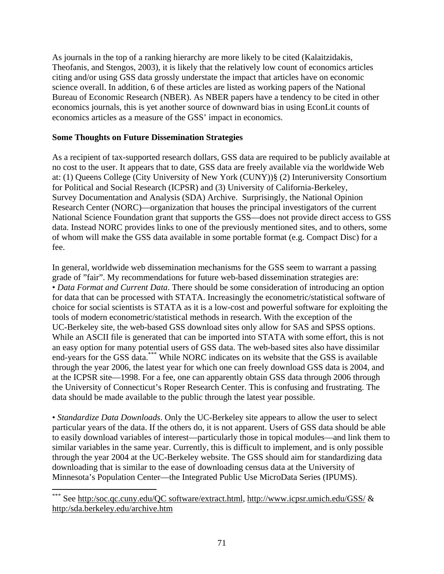As journals in the top of a ranking hierarchy are more likely to be cited (Kalaitzidakis, Theofanis, and Stengos, 2003), it is likely that the relatively low count of economics articles citing and/or using GSS data grossly understate the impact that articles have on economic science overall. In addition, 6 of these articles are listed as working papers of the National Bureau of Economic Research (NBER). As NBER papers have a tendency to be cited in other economics journals, this is yet another source of downward bias in using EconLit counts of economics articles as a measure of the GSS' impact in economics.

### **Some Thoughts on Future Dissemination Strategies**

As a recipient of tax-supported research dollars, GSS data are required to be publicly available at no cost to the user. It appears that to date, GSS data are freely available via the worldwide Web at: (1) Queens College (City University of New York (CUNY))§ (2) Interuniversity Consortium for Political and Social Research (ICPSR) and (3) University of California-Berkeley, Survey Documentation and Analysis (SDA) Archive. Surprisingly, the National Opinion Research Center (NORC)—organization that houses the principal investigators of the current National Science Foundation grant that supports the GSS—does not provide direct access to GSS data. Instead NORC provides links to one of the previously mentioned sites, and to others, some of whom will make the GSS data available in some portable format (e.g. Compact Disc) for a fee.

In general, worldwide web dissemination mechanisms for the GSS seem to warrant a passing grade of "fair". My recommendations for future web-based dissemination strategies are: • *Data Format and Current Data*. There should be some consideration of introducing an option for data that can be processed with STATA. Increasingly the econometric/statistical software of choice for social scientists is STATA as it is a low-cost and powerful software for exploiting the tools of modern econometric/statistical methods in research. With the exception of the UC-Berkeley site, the web-based GSS download sites only allow for SAS and SPSS options. While an ASCII file is generated that can be imported into STATA with some effort, this is not an easy option for many potential users of GSS data. The web-based sites also have dissimilar end-years for the GSS data.\*\*\* While NORC indicates on its website that the GSS is available through the year 2006, the latest year for which one can freely download GSS data is 2004, and at the ICPSR site—1998. For a fee, one can apparently obtain GSS data through 2006 through the University of Connecticut's Roper Research Center. This is confusing and frustrating. The data should be made available to the public through the latest year possible.

• *Standardize Data Downloads*. Only the UC-Berkeley site appears to allow the user to select particular years of the data. If the others do, it is not apparent. Users of GSS data should be able to easily download variables of interest—particularly those in topical modules—and link them to similar variables in the same year. Currently, this is difficult to implement, and is only possible through the year 2004 at the UC-Berkeley website. The GSS should aim for standardizing data downloading that is similar to the ease of downloading census data at the University of Minnesota's Population Center—the Integrated Public Use MicroData Series (IPUMS).

 $\overline{a}$ 

See http:/soc.qc.cuny.edu/QC software/extract.html, [http://www.icpsr.umich.edu/GSS/ &](http://www.icpsr.umich.edu/GSS/) http:/sda.berkeley.edu/archive.htm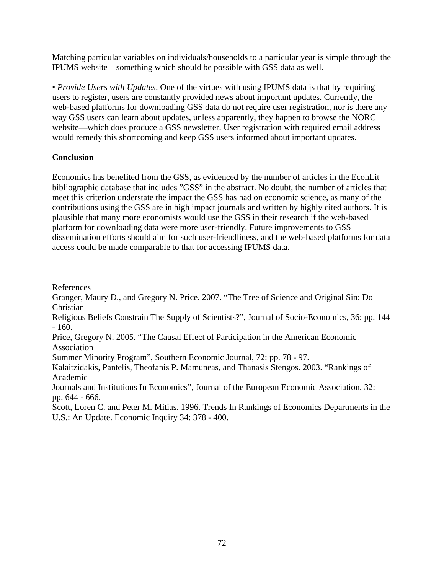Matching particular variables on individuals/households to a particular year is simple through the IPUMS website—something which should be possible with GSS data as well.

• *Provide Users with Updates*. One of the virtues with using IPUMS data is that by requiring users to register, users are constantly provided news about important updates. Currently, the web-based platforms for downloading GSS data do not require user registration, nor is there any way GSS users can learn about updates, unless apparently, they happen to browse the NORC website—which does produce a GSS newsletter. User registration with required email address would remedy this shortcoming and keep GSS users informed about important updates.

# **Conclusion**

Economics has benefited from the GSS, as evidenced by the number of articles in the EconLit bibliographic database that includes "GSS" in the abstract. No doubt, the number of articles that meet this criterion understate the impact the GSS has had on economic science, as many of the contributions using the GSS are in high impact journals and written by highly cited authors. It is plausible that many more economists would use the GSS in their research if the web-based platform for downloading data were more user-friendly. Future improvements to GSS dissemination efforts should aim for such user-friendliness, and the web-based platforms for data access could be made comparable to that for accessing IPUMS data.

References

Granger, Maury D., and Gregory N. Price. 2007. "The Tree of Science and Original Sin: Do Christian

Religious Beliefs Constrain The Supply of Scientists?", Journal of Socio-Economics, 36: pp. 144 - 160.

Price, Gregory N. 2005. "The Causal Effect of Participation in the American Economic Association

Summer Minority Program", Southern Economic Journal, 72: pp. 78 - 97.

Kalaitzidakis, Pantelis, Theofanis P. Mamuneas, and Thanasis Stengos. 2003. "Rankings of Academic

Journals and Institutions In Economics", Journal of the European Economic Association, 32: pp. 644 - 666.

Scott, Loren C. and Peter M. Mitias. 1996. Trends In Rankings of Economics Departments in the U.S.: An Update. Economic Inquiry 34: 378 - 400.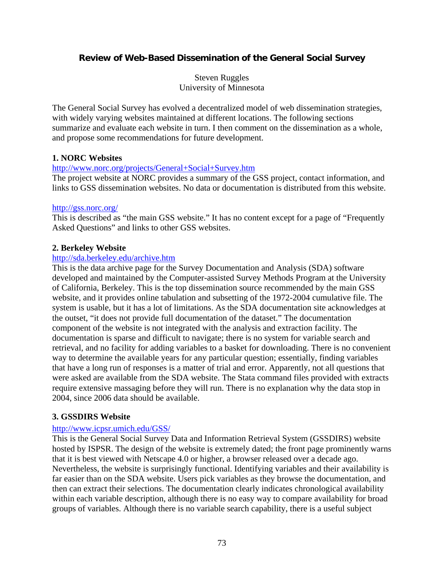# **Review of Web-Based Dissemination of the General Social Survey**

Steven Ruggles University of Minnesota

The General Social Survey has evolved a decentralized model of web dissemination strategies, with widely varying websites maintained at different locations. The following sections summarize and evaluate each website in turn. I then comment on the dissemination as a whole, and propose some recommendations for future development.

### **1. NORC Websites**

#### <http://www.norc.org/projects/General+Social+Survey.htm>

The project website at NORC provides a summary of the GSS project, contact information, and links to GSS dissemination websites. No data or documentation is distributed from this website.

#### <http://gss.norc.org/>

This is described as "the main GSS website." It has no content except for a page of "Frequently Asked Questions" and links to other GSS websites.

### **2. Berkeley Website**

#### <http://sda.berkeley.edu/archive.htm>

This is the data archive page for the Survey Documentation and Analysis (SDA) software developed and maintained by the Computer-assisted Survey Methods Program at the University of California, Berkeley. This is the top dissemination source recommended by the main GSS website, and it provides online tabulation and subsetting of the 1972-2004 cumulative file. The system is usable, but it has a lot of limitations. As the SDA documentation site acknowledges at the outset, "it does not provide full documentation of the dataset." The documentation component of the website is not integrated with the analysis and extraction facility. The documentation is sparse and difficult to navigate; there is no system for variable search and retrieval, and no facility for adding variables to a basket for downloading. There is no convenient way to determine the available years for any particular question; essentially, finding variables that have a long run of responses is a matter of trial and error. Apparently, not all questions that were asked are available from the SDA website. The Stata command files provided with extracts require extensive massaging before they will run. There is no explanation why the data stop in 2004, since 2006 data should be available.

### **3. GSSDIRS Website**

### <http://www.icpsr.umich.edu/GSS/>

This is the General Social Survey Data and Information Retrieval System (GSSDIRS) website hosted by ISPSR. The design of the website is extremely dated; the front page prominently warns that it is best viewed with Netscape 4.0 or higher, a browser released over a decade ago. Nevertheless, the website is surprisingly functional. Identifying variables and their availability is far easier than on the SDA website. Users pick variables as they browse the documentation, and then can extract their selections. The documentation clearly indicates chronological availability within each variable description, although there is no easy way to compare availability for broad groups of variables. Although there is no variable search capability, there is a useful subject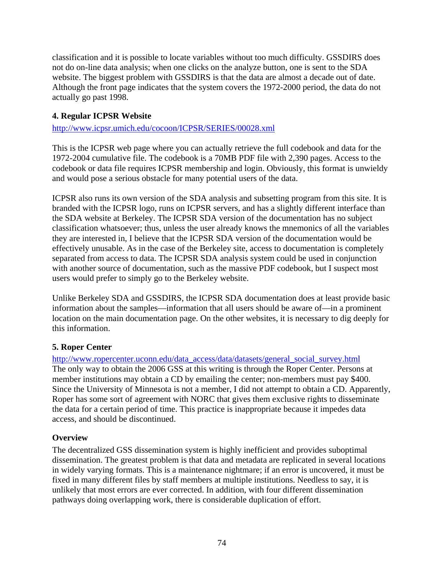classification and it is possible to locate variables without too much difficulty. GSSDIRS does not do on-line data analysis; when one clicks on the analyze button, one is sent to the SDA website. The biggest problem with GSSDIRS is that the data are almost a decade out of date. Although the front page indicates that the system covers the 1972-2000 period, the data do not actually go past 1998.

# **4. Regular ICPSR Website**

## <http://www.icpsr.umich.edu/cocoon/ICPSR/SERIES/00028.xml>

This is the ICPSR web page where you can actually retrieve the full codebook and data for the 1972-2004 cumulative file. The codebook is a 70MB PDF file with 2,390 pages. Access to the codebook or data file requires ICPSR membership and login. Obviously, this format is unwieldy and would pose a serious obstacle for many potential users of the data.

ICPSR also runs its own version of the SDA analysis and subsetting program from this site. It is branded with the ICPSR logo, runs on ICPSR servers, and has a slightly different interface than the SDA website at Berkeley. The ICPSR SDA version of the documentation has no subject classification whatsoever; thus, unless the user already knows the mnemonics of all the variables they are interested in, I believe that the ICPSR SDA version of the documentation would be effectively unusable. As in the case of the Berkeley site, access to documentation is completely separated from access to data. The ICPSR SDA analysis system could be used in conjunction with another source of documentation, such as the massive PDF codebook, but I suspect most users would prefer to simply go to the Berkeley website.

Unlike Berkeley SDA and GSSDIRS, the ICPSR SDA documentation does at least provide basic information about the samples—information that all users should be aware of—in a prominent location on the main documentation page. On the other websites, it is necessary to dig deeply for this information.

## **5. Roper Center**

[http://www.ropercenter.uconn.edu/data\\_access/data/datasets/general\\_social\\_survey.html](http://www.ropercenter.uconn.edu/data_access/data/datasets/general_social_survey.html) The only way to obtain the 2006 GSS at this writing is through the Roper Center. Persons at member institutions may obtain a CD by emailing the center; non-members must pay \$400. Since the University of Minnesota is not a member, I did not attempt to obtain a CD. Apparently, Roper has some sort of agreement with NORC that gives them exclusive rights to disseminate the data for a certain period of time. This practice is inappropriate because it impedes data access, and should be discontinued.

## **Overview**

The decentralized GSS dissemination system is highly inefficient and provides suboptimal dissemination. The greatest problem is that data and metadata are replicated in several locations in widely varying formats. This is a maintenance nightmare; if an error is uncovered, it must be fixed in many different files by staff members at multiple institutions. Needless to say, it is unlikely that most errors are ever corrected. In addition, with four different dissemination pathways doing overlapping work, there is considerable duplication of effort.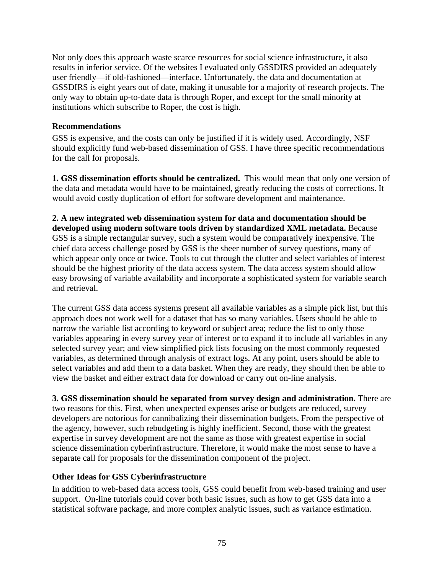Not only does this approach waste scarce resources for social science infrastructure, it also results in inferior service. Of the websites I evaluated only GSSDIRS provided an adequately user friendly—if old-fashioned—interface. Unfortunately, the data and documentation at GSSDIRS is eight years out of date, making it unusable for a majority of research projects. The only way to obtain up-to-date data is through Roper, and except for the small minority at institutions which subscribe to Roper, the cost is high.

### **Recommendations**

GSS is expensive, and the costs can only be justified if it is widely used. Accordingly, NSF should explicitly fund web-based dissemination of GSS. I have three specific recommendations for the call for proposals.

**1. GSS dissemination efforts should be centralized.** This would mean that only one version of the data and metadata would have to be maintained, greatly reducing the costs of corrections. It would avoid costly duplication of effort for software development and maintenance.

**2. A new integrated web dissemination system for data and documentation should be developed using modern software tools driven by standardized XML metadata.** Because GSS is a simple rectangular survey, such a system would be comparatively inexpensive. The chief data access challenge posed by GSS is the sheer number of survey questions, many of which appear only once or twice. Tools to cut through the clutter and select variables of interest should be the highest priority of the data access system. The data access system should allow easy browsing of variable availability and incorporate a sophisticated system for variable search and retrieval.

The current GSS data access systems present all available variables as a simple pick list, but this approach does not work well for a dataset that has so many variables. Users should be able to narrow the variable list according to keyword or subject area; reduce the list to only those variables appearing in every survey year of interest or to expand it to include all variables in any selected survey year; and view simplified pick lists focusing on the most commonly requested variables, as determined through analysis of extract logs. At any point, users should be able to select variables and add them to a data basket. When they are ready, they should then be able to view the basket and either extract data for download or carry out on-line analysis.

**3. GSS dissemination should be separated from survey design and administration.** There are two reasons for this. First, when unexpected expenses arise or budgets are reduced, survey developers are notorious for cannibalizing their dissemination budgets. From the perspective of the agency, however, such rebudgeting is highly inefficient. Second, those with the greatest expertise in survey development are not the same as those with greatest expertise in social science dissemination cyberinfrastructure. Therefore, it would make the most sense to have a separate call for proposals for the dissemination component of the project.

## **Other Ideas for GSS Cyberinfrastructure**

In addition to web-based data access tools, GSS could benefit from web-based training and user support. On-line tutorials could cover both basic issues, such as how to get GSS data into a statistical software package, and more complex analytic issues, such as variance estimation.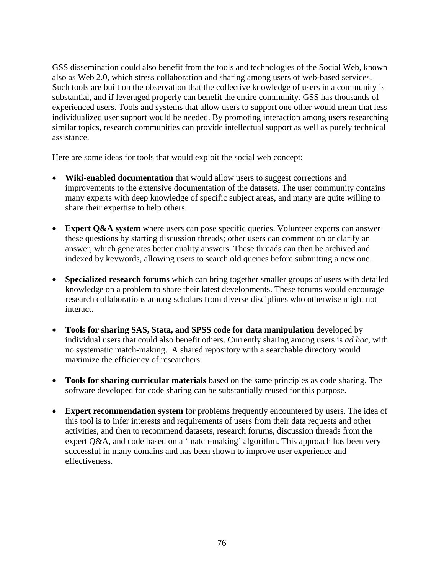GSS dissemination could also benefit from the tools and technologies of the Social Web, known also as Web 2.0, which stress collaboration and sharing among users of web-based services. Such tools are built on the observation that the collective knowledge of users in a community is substantial, and if leveraged properly can benefit the entire community. GSS has thousands of experienced users. Tools and systems that allow users to support one other would mean that less individualized user support would be needed. By promoting interaction among users researching similar topics, research communities can provide intellectual support as well as purely technical assistance.

Here are some ideas for tools that would exploit the social web concept:

- **Wiki-enabled documentation** that would allow users to suggest corrections and improvements to the extensive documentation of the datasets. The user community contains many experts with deep knowledge of specific subject areas, and many are quite willing to share their expertise to help others.
- **Expert Q&A system** where users can pose specific queries. Volunteer experts can answer these questions by starting discussion threads; other users can comment on or clarify an answer, which generates better quality answers. These threads can then be archived and indexed by keywords, allowing users to search old queries before submitting a new one.
- **Specialized research forums** which can bring together smaller groups of users with detailed knowledge on a problem to share their latest developments. These forums would encourage research collaborations among scholars from diverse disciplines who otherwise might not interact.
- **Tools for sharing SAS, Stata, and SPSS code for data manipulation** developed by individual users that could also benefit others. Currently sharing among users is *ad hoc*, with no systematic match-making. A shared repository with a searchable directory would maximize the efficiency of researchers.
- **Tools for sharing curricular materials** based on the same principles as code sharing. The software developed for code sharing can be substantially reused for this purpose.
- **Expert recommendation system** for problems frequently encountered by users. The idea of this tool is to infer interests and requirements of users from their data requests and other activities, and then to recommend datasets, research forums, discussion threads from the expert Q&A, and code based on a 'match-making' algorithm. This approach has been very successful in many domains and has been shown to improve user experience and effectiveness.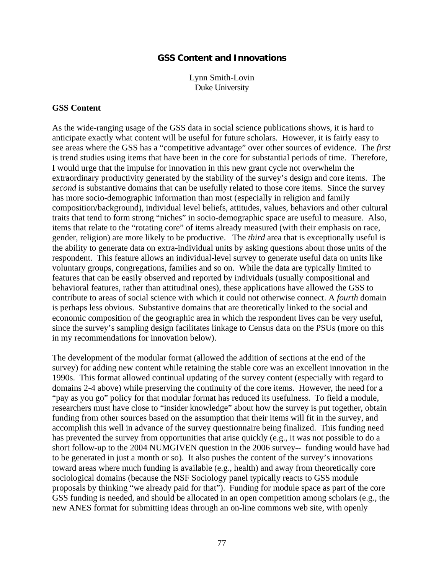### **GSS Content and Innovations**

Lynn Smith-Lovin Duke University

#### **GSS Content**

As the wide-ranging usage of the GSS data in social science publications shows, it is hard to anticipate exactly what content will be useful for future scholars. However, it is fairly easy to see areas where the GSS has a "competitive advantage" over other sources of evidence. The *first* is trend studies using items that have been in the core for substantial periods of time. Therefore, I would urge that the impulse for innovation in this new grant cycle not overwhelm the extraordinary productivity generated by the stability of the survey's design and core items. The *second* is substantive domains that can be usefully related to those core items. Since the survey has more socio-demographic information than most (especially in religion and family composition/background), individual level beliefs, attitudes, values, behaviors and other cultural traits that tend to form strong "niches" in socio-demographic space are useful to measure. Also, items that relate to the "rotating core" of items already measured (with their emphasis on race, gender, religion) are more likely to be productive. The *third* area that is exceptionally useful is the ability to generate data on extra-individual units by asking questions about those units of the respondent. This feature allows an individual-level survey to generate useful data on units like voluntary groups, congregations, families and so on. While the data are typically limited to features that can be easily observed and reported by individuals (usually compositional and behavioral features, rather than attitudinal ones), these applications have allowed the GSS to contribute to areas of social science with which it could not otherwise connect. A *fourth* domain is perhaps less obvious. Substantive domains that are theoretically linked to the social and economic composition of the geographic area in which the respondent lives can be very useful, since the survey's sampling design facilitates linkage to Census data on the PSUs (more on this in my recommendations for innovation below).

The development of the modular format (allowed the addition of sections at the end of the survey) for adding new content while retaining the stable core was an excellent innovation in the 1990s. This format allowed continual updating of the survey content (especially with regard to domains 2-4 above) while preserving the continuity of the core items. However, the need for a "pay as you go" policy for that modular format has reduced its usefulness. To field a module, researchers must have close to "insider knowledge" about how the survey is put together, obtain funding from other sources based on the assumption that their items will fit in the survey, and accomplish this well in advance of the survey questionnaire being finalized. This funding need has prevented the survey from opportunities that arise quickly (e.g., it was not possible to do a short follow-up to the 2004 NUMGIVEN question in the 2006 survey-- funding would have had to be generated in just a month or so). It also pushes the content of the survey's innovations toward areas where much funding is available (e.g., health) and away from theoretically core sociological domains (because the NSF Sociology panel typically reacts to GSS module proposals by thinking "we already paid for that"). Funding for module space as part of the core GSS funding is needed, and should be allocated in an open competition among scholars (e.g., the new ANES format for submitting ideas through an on-line commons web site, with openly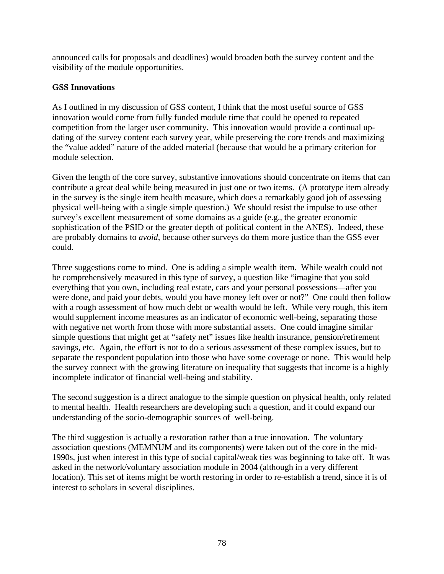announced calls for proposals and deadlines) would broaden both the survey content and the visibility of the module opportunities.

## **GSS Innovations**

As I outlined in my discussion of GSS content, I think that the most useful source of GSS innovation would come from fully funded module time that could be opened to repeated competition from the larger user community. This innovation would provide a continual updating of the survey content each survey year, while preserving the core trends and maximizing the "value added" nature of the added material (because that would be a primary criterion for module selection.

Given the length of the core survey, substantive innovations should concentrate on items that can contribute a great deal while being measured in just one or two items. (A prototype item already in the survey is the single item health measure, which does a remarkably good job of assessing physical well-being with a single simple question.) We should resist the impulse to use other survey's excellent measurement of some domains as a guide (e.g., the greater economic sophistication of the PSID or the greater depth of political content in the ANES). Indeed, these are probably domains to *avoid*, because other surveys do them more justice than the GSS ever could.

Three suggestions come to mind. One is adding a simple wealth item. While wealth could not be comprehensively measured in this type of survey, a question like "imagine that you sold everything that you own, including real estate, cars and your personal possessions—after you were done, and paid your debts, would you have money left over or not?" One could then follow with a rough assessment of how much debt or wealth would be left. While very rough, this item would supplement income measures as an indicator of economic well-being, separating those with negative net worth from those with more substantial assets. One could imagine similar simple questions that might get at "safety net" issues like health insurance, pension/retirement savings, etc. Again, the effort is not to do a serious assessment of these complex issues, but to separate the respondent population into those who have some coverage or none. This would help the survey connect with the growing literature on inequality that suggests that income is a highly incomplete indicator of financial well-being and stability.

The second suggestion is a direct analogue to the simple question on physical health, only related to mental health. Health researchers are developing such a question, and it could expand our understanding of the socio-demographic sources of well-being.

The third suggestion is actually a restoration rather than a true innovation. The voluntary association questions (MEMNUM and its components) were taken out of the core in the mid-1990s, just when interest in this type of social capital/weak ties was beginning to take off. It was asked in the network/voluntary association module in 2004 (although in a very different location). This set of items might be worth restoring in order to re-establish a trend, since it is of interest to scholars in several disciplines.